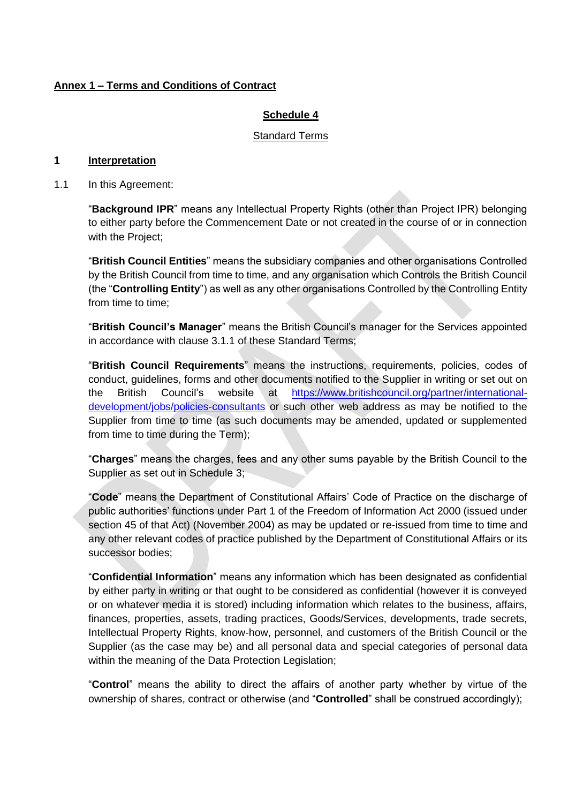## **Annex 1 – Terms and Conditions of Contract**

## **Schedule 4**

#### Standard Terms

## **1 Interpretation**

1.1 In this Agreement:

"**Background IPR**" means any Intellectual Property Rights (other than Project IPR) belonging to either party before the Commencement Date or not created in the course of or in connection with the Project;

"**British Council Entities**" means the subsidiary companies and other organisations Controlled by the British Council from time to time, and any organisation which Controls the British Council (the "**Controlling Entity**") as well as any other organisations Controlled by the Controlling Entity from time to time;

"**British Council's Manager**" means the British Council's manager for the Services appointed in accordance with clause [3.1.1](#page-5-0) of these Standard Terms;

"**British Council Requirements**" means the instructions, requirements, policies, codes of conduct, guidelines, forms and other documents notified to the Supplier in writing or set out on the British Council's website at [https://www.britishcouncil.org/partner/international](https://www.britishcouncil.org/partner/international-development/jobs/policies-consultants)[development/jobs/policies-consultants](https://www.britishcouncil.org/partner/international-development/jobs/policies-consultants) or such other web address as may be notified to the Supplier from time to time (as such documents may be amended, updated or supplemented from time to time during the Term);

"**Charges**" means the charges, fees and any other sums payable by the British Council to the Supplier as set out in Schedule 3;

"**Code**" means the Department of Constitutional Affairs' Code of Practice on the discharge of public authorities' functions under Part 1 of the Freedom of Information Act 2000 (issued under section 45 of that Act) (November 2004) as may be updated or re-issued from time to time and any other relevant codes of practice published by the Department of Constitutional Affairs or its successor bodies;

"**Confidential Information**" means any information which has been designated as confidential by either party in writing or that ought to be considered as confidential (however it is conveyed or on whatever media it is stored) including information which relates to the business, affairs, finances, properties, assets, trading practices, Goods/Services, developments, trade secrets, Intellectual Property Rights, know-how, personnel, and customers of the British Council or the Supplier (as the case may be) and all personal data and special categories of personal data within the meaning of the Data Protection Legislation;

"**Control**" means the ability to direct the affairs of another party whether by virtue of the ownership of shares, contract or otherwise (and "**Controlled**" shall be construed accordingly);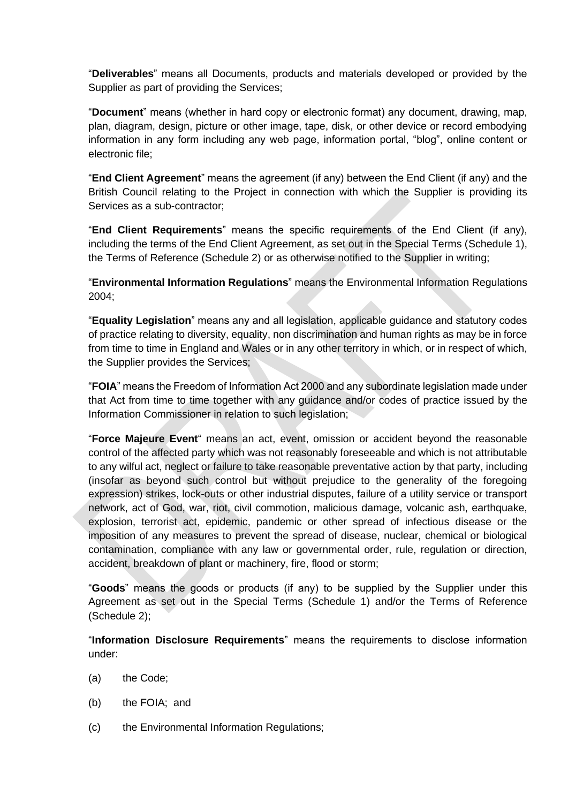"**Deliverables**" means all Documents, products and materials developed or provided by the Supplier as part of providing the Services;

"**Document**" means (whether in hard copy or electronic format) any document, drawing, map, plan, diagram, design, picture or other image, tape, disk, or other device or record embodying information in any form including any web page, information portal, "blog", online content or electronic file;

"**End Client Agreement**" means the agreement (if any) between the End Client (if any) and the British Council relating to the Project in connection with which the Supplier is providing its Services as a sub-contractor;

"**End Client Requirements**" means the specific requirements of the End Client (if any), including the terms of the End Client Agreement, as set out in the Special Terms (Schedule 1), the Terms of Reference (Schedule 2) or as otherwise notified to the Supplier in writing;

"**Environmental Information Regulations**" means the Environmental Information Regulations 2004;

"**Equality Legislation**" means any and all legislation, applicable guidance and statutory codes of practice relating to diversity, equality, non discrimination and human rights as may be in force from time to time in England and Wales or in any other territory in which, or in respect of which, the Supplier provides the Services;

"**FOIA**" means the Freedom of Information Act 2000 and any subordinate legislation made under that Act from time to time together with any guidance and/or codes of practice issued by the Information Commissioner in relation to such legislation;

"**Force Majeure Event**" means an act, event, omission or accident beyond the reasonable control of the affected party which was not reasonably foreseeable and which is not attributable to any wilful act, neglect or failure to take reasonable preventative action by that party, including (insofar as beyond such control but without prejudice to the generality of the foregoing expression) strikes, lock-outs or other industrial disputes, failure of a utility service or transport network, act of God, war, riot, civil commotion, malicious damage, volcanic ash, earthquake, explosion, terrorist act, epidemic, pandemic or other spread of infectious disease or the imposition of any measures to prevent the spread of disease, nuclear, chemical or biological contamination, compliance with any law or governmental order, rule, regulation or direction, accident, breakdown of plant or machinery, fire, flood or storm;

"**Goods**" means the goods or products (if any) to be supplied by the Supplier under this Agreement as set out in the Special Terms (Schedule 1) and/or the Terms of Reference (Schedule 2);

"**Information Disclosure Requirements**" means the requirements to disclose information under:

- (a) the Code;
- (b) the FOIA; and
- (c) the Environmental Information Regulations;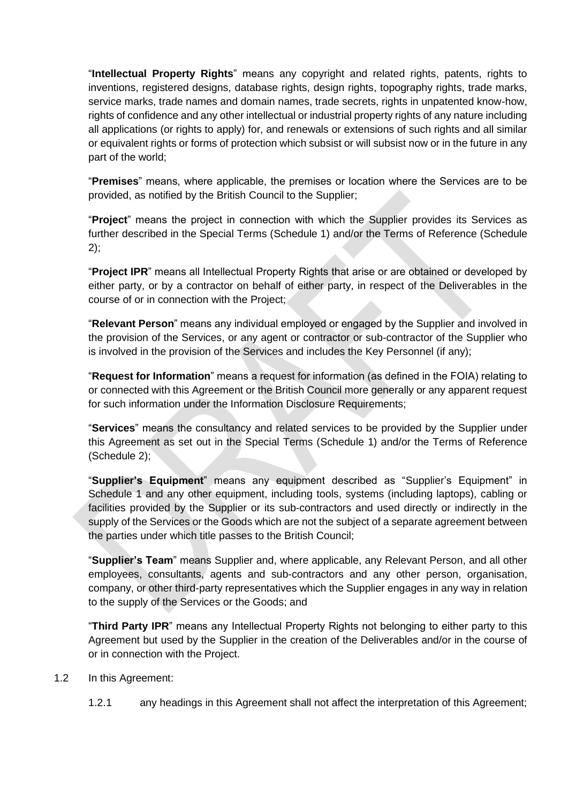"**Intellectual Property Rights**" means any copyright and related rights, patents, rights to inventions, registered designs, database rights, design rights, topography rights, trade marks, service marks, trade names and domain names, trade secrets, rights in unpatented know-how, rights of confidence and any other intellectual or industrial property rights of any nature including all applications (or rights to apply) for, and renewals or extensions of such rights and all similar or equivalent rights or forms of protection which subsist or will subsist now or in the future in any part of the world;

"**Premises**" means, where applicable, the premises or location where the Services are to be provided, as notified by the British Council to the Supplier;

"**Project**" means the project in connection with which the Supplier provides its Services as further described in the Special Terms (Schedule 1) and/or the Terms of Reference (Schedule 2);

"**Project IPR**" means all Intellectual Property Rights that arise or are obtained or developed by either party, or by a contractor on behalf of either party, in respect of the Deliverables in the course of or in connection with the Project;

"**Relevant Person**" means any individual employed or engaged by the Supplier and involved in the provision of the Services, or any agent or contractor or sub-contractor of the Supplier who is involved in the provision of the Services and includes the Key Personnel (if any);

"**Request for Information**" means a request for information (as defined in the FOIA) relating to or connected with this Agreement or the British Council more generally or any apparent request for such information under the Information Disclosure Requirements;

"**Services**" means the consultancy and related services to be provided by the Supplier under this Agreement as set out in the Special Terms (Schedule 1) and/or the Terms of Reference (Schedule 2);

"**Supplier's Equipment**" means any equipment described as "Supplier's Equipment" in Schedule 1 and any other equipment, including tools, systems (including laptops), cabling or facilities provided by the Supplier or its sub-contractors and used directly or indirectly in the supply of the Services or the Goods which are not the subject of a separate agreement between the parties under which title passes to the British Council;

"**Supplier's Team**" means Supplier and, where applicable, any Relevant Person, and all other employees, consultants, agents and sub-contractors and any other person, organisation, company, or other third-party representatives which the Supplier engages in any way in relation to the supply of the Services or the Goods; and

"**Third Party IPR**" means any Intellectual Property Rights not belonging to either party to this Agreement but used by the Supplier in the creation of the Deliverables and/or in the course of or in connection with the Project.

- 1.2 In this Agreement:
	- 1.2.1 any headings in this Agreement shall not affect the interpretation of this Agreement;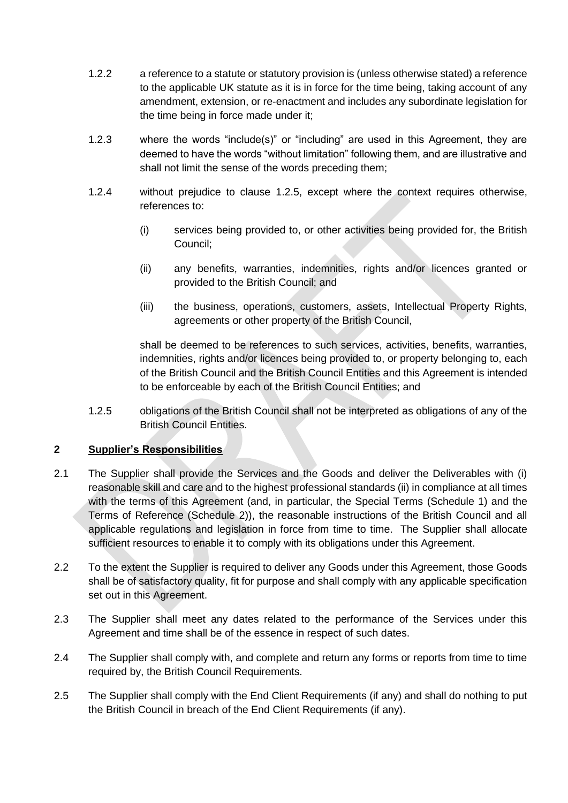- 1.2.2 a reference to a statute or statutory provision is (unless otherwise stated) a reference to the applicable UK statute as it is in force for the time being, taking account of any amendment, extension, or re-enactment and includes any subordinate legislation for the time being in force made under it;
- 1.2.3 where the words "include(s)" or "including" are used in this Agreement, they are deemed to have the words "without limitation" following them, and are illustrative and shall not limit the sense of the words preceding them;
- <span id="page-3-1"></span>1.2.4 without prejudice to clause [1.2.5,](#page-3-0) except where the context requires otherwise, references to:
	- (i) services being provided to, or other activities being provided for, the British Council;
	- (ii) any benefits, warranties, indemnities, rights and/or licences granted or provided to the British Council; and
	- (iii) the business, operations, customers, assets, Intellectual Property Rights, agreements or other property of the British Council,

shall be deemed to be references to such services, activities, benefits, warranties, indemnities, rights and/or licences being provided to, or property belonging to, each of the British Council and the British Council Entities and this Agreement is intended to be enforceable by each of the British Council Entities; and

<span id="page-3-0"></span>1.2.5 obligations of the British Council shall not be interpreted as obligations of any of the British Council Entities.

# **2 Supplier's Responsibilities**

- 2.1 The Supplier shall provide the Services and the Goods and deliver the Deliverables with (i) reasonable skill and care and to the highest professional standards (ii) in compliance at all times with the terms of this Agreement (and, in particular, the Special Terms (Schedule 1) and the Terms of Reference (Schedule 2)), the reasonable instructions of the British Council and all applicable regulations and legislation in force from time to time. The Supplier shall allocate sufficient resources to enable it to comply with its obligations under this Agreement.
- 2.2 To the extent the Supplier is required to deliver any Goods under this Agreement, those Goods shall be of satisfactory quality, fit for purpose and shall comply with any applicable specification set out in this Agreement.
- 2.3 The Supplier shall meet any dates related to the performance of the Services under this Agreement and time shall be of the essence in respect of such dates.
- 2.4 The Supplier shall comply with, and complete and return any forms or reports from time to time required by, the British Council Requirements.
- 2.5 The Supplier shall comply with the End Client Requirements (if any) and shall do nothing to put the British Council in breach of the End Client Requirements (if any).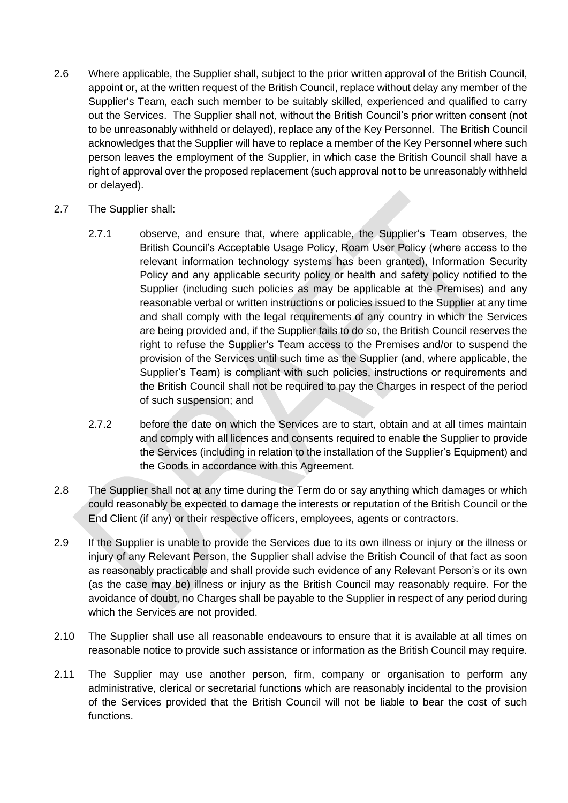- 2.6 Where applicable, the Supplier shall, subject to the prior written approval of the British Council, appoint or, at the written request of the British Council, replace without delay any member of the Supplier's Team, each such member to be suitably skilled, experienced and qualified to carry out the Services. The Supplier shall not, without the British Council's prior written consent (not to be unreasonably withheld or delayed), replace any of the Key Personnel. The British Council acknowledges that the Supplier will have to replace a member of the Key Personnel where such person leaves the employment of the Supplier, in which case the British Council shall have a right of approval over the proposed replacement (such approval not to be unreasonably withheld or delayed).
- <span id="page-4-0"></span>2.7 The Supplier shall:
	- 2.7.1 observe, and ensure that, where applicable, the Supplier's Team observes, the British Council's Acceptable Usage Policy, Roam User Policy (where access to the relevant information technology systems has been granted), Information Security Policy and any applicable security policy or health and safety policy notified to the Supplier (including such policies as may be applicable at the Premises) and any reasonable verbal or written instructions or policies issued to the Supplier at any time and shall comply with the legal requirements of any country in which the Services are being provided and, if the Supplier fails to do so, the British Council reserves the right to refuse the Supplier's Team access to the Premises and/or to suspend the provision of the Services until such time as the Supplier (and, where applicable, the Supplier's Team) is compliant with such policies, instructions or requirements and the British Council shall not be required to pay the Charges in respect of the period of such suspension; and
	- 2.7.2 before the date on which the Services are to start, obtain and at all times maintain and comply with all licences and consents required to enable the Supplier to provide the Services (including in relation to the installation of the Supplier's Equipment) and the Goods in accordance with this Agreement.
- 2.8 The Supplier shall not at any time during the Term do or say anything which damages or which could reasonably be expected to damage the interests or reputation of the British Council or the End Client (if any) or their respective officers, employees, agents or contractors.
- 2.9 If the Supplier is unable to provide the Services due to its own illness or injury or the illness or injury of any Relevant Person, the Supplier shall advise the British Council of that fact as soon as reasonably practicable and shall provide such evidence of any Relevant Person's or its own (as the case may be) illness or injury as the British Council may reasonably require. For the avoidance of doubt, no Charges shall be payable to the Supplier in respect of any period during which the Services are not provided.
- 2.10 The Supplier shall use all reasonable endeavours to ensure that it is available at all times on reasonable notice to provide such assistance or information as the British Council may require.
- 2.11 The Supplier may use another person, firm, company or organisation to perform any administrative, clerical or secretarial functions which are reasonably incidental to the provision of the Services provided that the British Council will not be liable to bear the cost of such functions.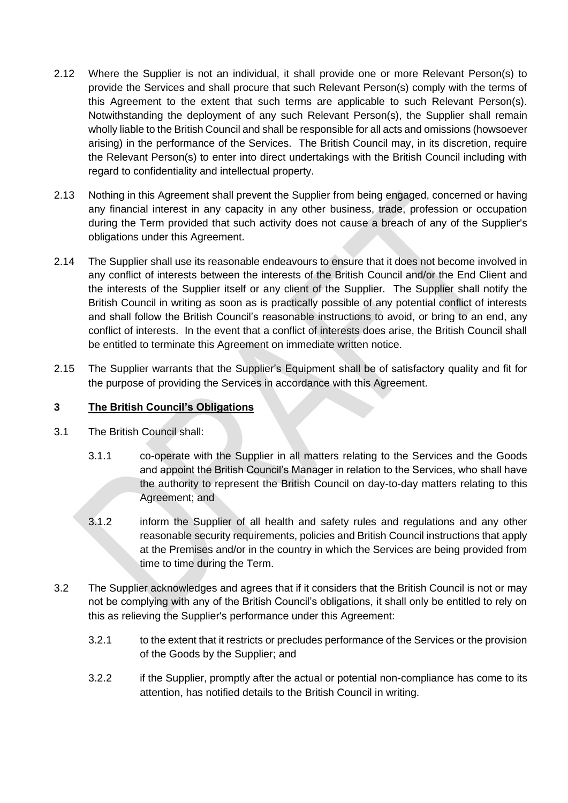- 2.12 Where the Supplier is not an individual, it shall provide one or more Relevant Person(s) to provide the Services and shall procure that such Relevant Person(s) comply with the terms of this Agreement to the extent that such terms are applicable to such Relevant Person(s). Notwithstanding the deployment of any such Relevant Person(s), the Supplier shall remain wholly liable to the British Council and shall be responsible for all acts and omissions (howsoever arising) in the performance of the Services. The British Council may, in its discretion, require the Relevant Person(s) to enter into direct undertakings with the British Council including with regard to confidentiality and intellectual property.
- 2.13 Nothing in this Agreement shall prevent the Supplier from being engaged, concerned or having any financial interest in any capacity in any other business, trade, profession or occupation during the Term provided that such activity does not cause a breach of any of the Supplier's obligations under this Agreement.
- 2.14 The Supplier shall use its reasonable endeavours to ensure that it does not become involved in any conflict of interests between the interests of the British Council and/or the End Client and the interests of the Supplier itself or any client of the Supplier. The Supplier shall notify the British Council in writing as soon as is practically possible of any potential conflict of interests and shall follow the British Council's reasonable instructions to avoid, or bring to an end, any conflict of interests. In the event that a conflict of interests does arise, the British Council shall be entitled to terminate this Agreement on immediate written notice.
- 2.15 The Supplier warrants that the Supplier's Equipment shall be of satisfactory quality and fit for the purpose of providing the Services in accordance with this Agreement.

### **3 The British Council's Obligations**

- <span id="page-5-0"></span>3.1 The British Council shall:
	- 3.1.1 co-operate with the Supplier in all matters relating to the Services and the Goods and appoint the British Council's Manager in relation to the Services, who shall have the authority to represent the British Council on day-to-day matters relating to this Agreement; and
	- 3.1.2 inform the Supplier of all health and safety rules and regulations and any other reasonable security requirements, policies and British Council instructions that apply at the Premises and/or in the country in which the Services are being provided from time to time during the Term.
- 3.2 The Supplier acknowledges and agrees that if it considers that the British Council is not or may not be complying with any of the British Council's obligations, it shall only be entitled to rely on this as relieving the Supplier's performance under this Agreement:
	- 3.2.1 to the extent that it restricts or precludes performance of the Services or the provision of the Goods by the Supplier; and
	- 3.2.2 if the Supplier, promptly after the actual or potential non-compliance has come to its attention, has notified details to the British Council in writing.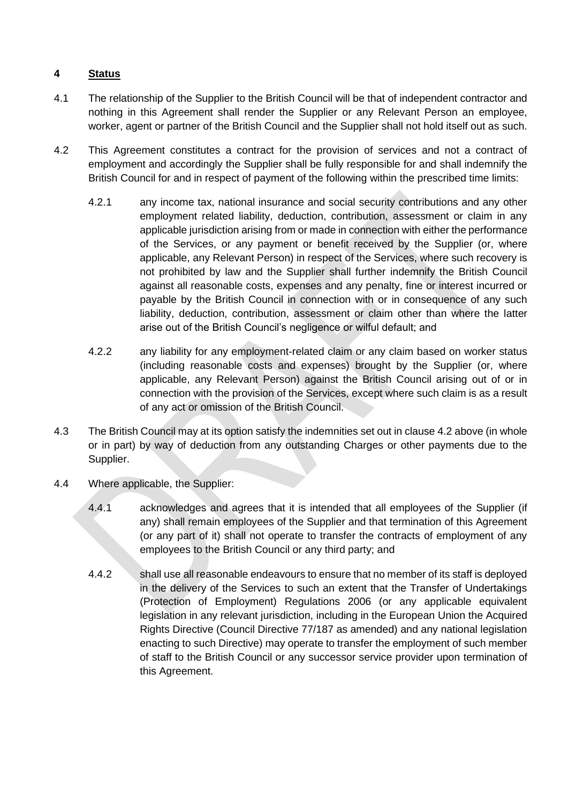# **4 Status**

- 4.1 The relationship of the Supplier to the British Council will be that of independent contractor and nothing in this Agreement shall render the Supplier or any Relevant Person an employee, worker, agent or partner of the British Council and the Supplier shall not hold itself out as such.
- <span id="page-6-0"></span>4.2 This Agreement constitutes a contract for the provision of services and not a contract of employment and accordingly the Supplier shall be fully responsible for and shall indemnify the British Council for and in respect of payment of the following within the prescribed time limits:
	- 4.2.1 any income tax, national insurance and social security contributions and any other employment related liability, deduction, contribution, assessment or claim in any applicable jurisdiction arising from or made in connection with either the performance of the Services, or any payment or benefit received by the Supplier (or, where applicable, any Relevant Person) in respect of the Services, where such recovery is not prohibited by law and the Supplier shall further indemnify the British Council against all reasonable costs, expenses and any penalty, fine or interest incurred or payable by the British Council in connection with or in consequence of any such liability, deduction, contribution, assessment or claim other than where the latter arise out of the British Council's negligence or wilful default; and
	- 4.2.2 any liability for any employment-related claim or any claim based on worker status (including reasonable costs and expenses) brought by the Supplier (or, where applicable, any Relevant Person) against the British Council arising out of or in connection with the provision of the Services, except where such claim is as a result of any act or omission of the British Council.
- 4.3 The British Council may at its option satisfy the indemnities set out in claus[e 4.2](#page-6-0) above (in whole or in part) by way of deduction from any outstanding Charges or other payments due to the Supplier.
- 4.4 Where applicable, the Supplier:
	- 4.4.1 acknowledges and agrees that it is intended that all employees of the Supplier (if any) shall remain employees of the Supplier and that termination of this Agreement (or any part of it) shall not operate to transfer the contracts of employment of any employees to the British Council or any third party; and
	- 4.4.2 shall use all reasonable endeavours to ensure that no member of its staff is deployed in the delivery of the Services to such an extent that the Transfer of Undertakings (Protection of Employment) Regulations 2006 (or any applicable equivalent legislation in any relevant jurisdiction, including in the European Union the Acquired Rights Directive (Council Directive 77/187 as amended) and any national legislation enacting to such Directive) may operate to transfer the employment of such member of staff to the British Council or any successor service provider upon termination of this Agreement.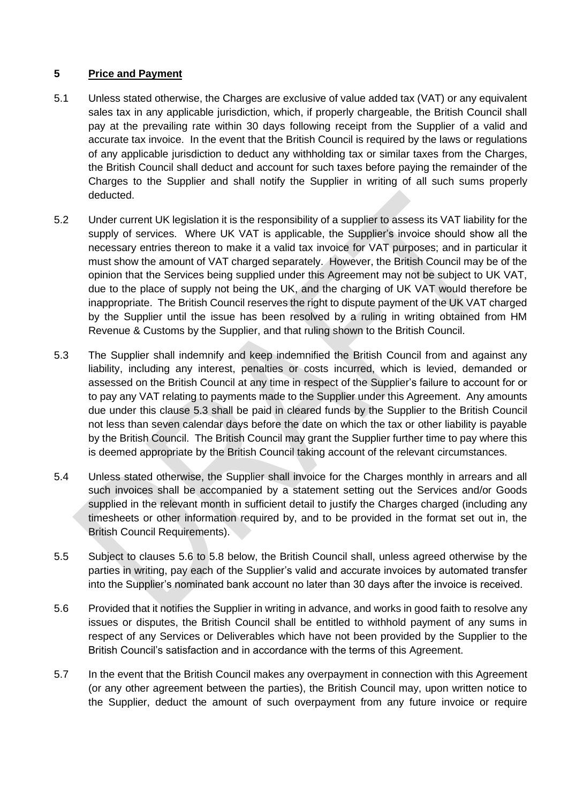# **5 Price and Payment**

- 5.1 Unless stated otherwise, the Charges are exclusive of value added tax (VAT) or any equivalent sales tax in any applicable jurisdiction, which, if properly chargeable, the British Council shall pay at the prevailing rate within 30 days following receipt from the Supplier of a valid and accurate tax invoice. In the event that the British Council is required by the laws or regulations of any applicable jurisdiction to deduct any withholding tax or similar taxes from the Charges, the British Council shall deduct and account for such taxes before paying the remainder of the Charges to the Supplier and shall notify the Supplier in writing of all such sums properly deducted.
- 5.2 Under current UK legislation it is the responsibility of a supplier to assess its VAT liability for the supply of services. Where UK VAT is applicable, the Supplier's invoice should show all the necessary entries thereon to make it a valid tax invoice for VAT purposes; and in particular it must show the amount of VAT charged separately. However, the British Council may be of the opinion that the Services being supplied under this Agreement may not be subject to UK VAT, due to the place of supply not being the UK, and the charging of UK VAT would therefore be inappropriate. The British Council reserves the right to dispute payment of the UK VAT charged by the Supplier until the issue has been resolved by a ruling in writing obtained from HM Revenue & Customs by the Supplier, and that ruling shown to the British Council.
- 5.3 The Supplier shall indemnify and keep indemnified the British Council from and against any liability, including any interest, penalties or costs incurred, which is levied, demanded or assessed on the British Council at any time in respect of the Supplier's failure to account for or to pay any VAT relating to payments made to the Supplier under this Agreement. Any amounts due under this clause 5.3 shall be paid in cleared funds by the Supplier to the British Council not less than seven calendar days before the date on which the tax or other liability is payable by the British Council. The British Council may grant the Supplier further time to pay where this is deemed appropriate by the British Council taking account of the relevant circumstances.
- 5.4 Unless stated otherwise, the Supplier shall invoice for the Charges monthly in arrears and all such invoices shall be accompanied by a statement setting out the Services and/or Goods supplied in the relevant month in sufficient detail to justify the Charges charged (including any timesheets or other information required by, and to be provided in the format set out in, the British Council Requirements).
- 5.5 Subject to clauses [5.6](#page-7-0) to [5.8](#page-8-0) below, the British Council shall, unless agreed otherwise by the parties in writing, pay each of the Supplier's valid and accurate invoices by automated transfer into the Supplier's nominated bank account no later than 30 days after the invoice is received.
- <span id="page-7-0"></span>5.6 Provided that it notifies the Supplier in writing in advance, and works in good faith to resolve any issues or disputes, the British Council shall be entitled to withhold payment of any sums in respect of any Services or Deliverables which have not been provided by the Supplier to the British Council's satisfaction and in accordance with the terms of this Agreement.
- 5.7 In the event that the British Council makes any overpayment in connection with this Agreement (or any other agreement between the parties), the British Council may, upon written notice to the Supplier, deduct the amount of such overpayment from any future invoice or require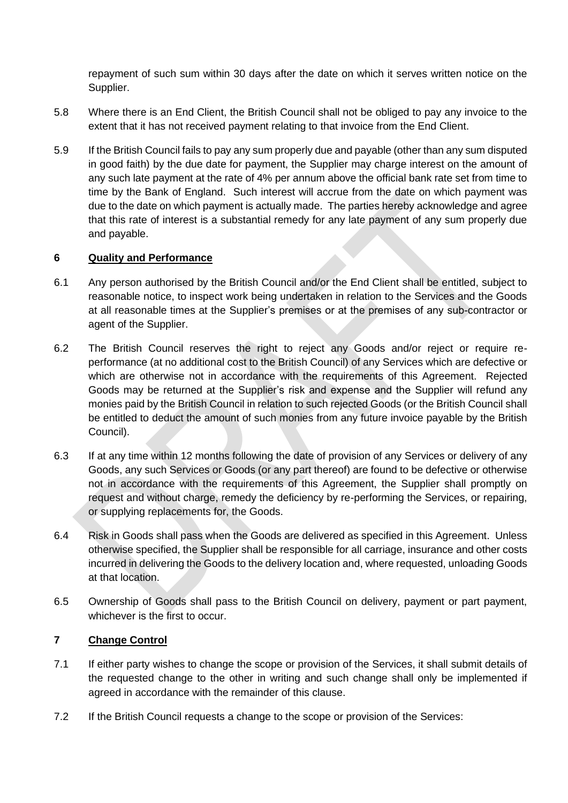repayment of such sum within 30 days after the date on which it serves written notice on the Supplier.

- <span id="page-8-0"></span>5.8 Where there is an End Client, the British Council shall not be obliged to pay any invoice to the extent that it has not received payment relating to that invoice from the End Client.
- 5.9 If the British Council fails to pay any sum properly due and payable (other than any sum disputed in good faith) by the due date for payment, the Supplier may charge interest on the amount of any such late payment at the rate of 4% per annum above the official bank rate set from time to time by the Bank of England. Such interest will accrue from the date on which payment was due to the date on which payment is actually made. The parties hereby acknowledge and agree that this rate of interest is a substantial remedy for any late payment of any sum properly due and payable.

### **6 Quality and Performance**

- 6.1 Any person authorised by the British Council and/or the End Client shall be entitled, subject to reasonable notice, to inspect work being undertaken in relation to the Services and the Goods at all reasonable times at the Supplier's premises or at the premises of any sub-contractor or agent of the Supplier.
- 6.2 The British Council reserves the right to reject any Goods and/or reject or require reperformance (at no additional cost to the British Council) of any Services which are defective or which are otherwise not in accordance with the requirements of this Agreement. Rejected Goods may be returned at the Supplier's risk and expense and the Supplier will refund any monies paid by the British Council in relation to such rejected Goods (or the British Council shall be entitled to deduct the amount of such monies from any future invoice payable by the British Council).
- 6.3 If at any time within 12 months following the date of provision of any Services or delivery of any Goods, any such Services or Goods (or any part thereof) are found to be defective or otherwise not in accordance with the requirements of this Agreement, the Supplier shall promptly on request and without charge, remedy the deficiency by re-performing the Services, or repairing, or supplying replacements for, the Goods.
- 6.4 Risk in Goods shall pass when the Goods are delivered as specified in this Agreement. Unless otherwise specified, the Supplier shall be responsible for all carriage, insurance and other costs incurred in delivering the Goods to the delivery location and, where requested, unloading Goods at that location.
- 6.5 Ownership of Goods shall pass to the British Council on delivery, payment or part payment, whichever is the first to occur.

# **7 Change Control**

- 7.1 If either party wishes to change the scope or provision of the Services, it shall submit details of the requested change to the other in writing and such change shall only be implemented if agreed in accordance with the remainder of this clause.
- 7.2 If the British Council requests a change to the scope or provision of the Services: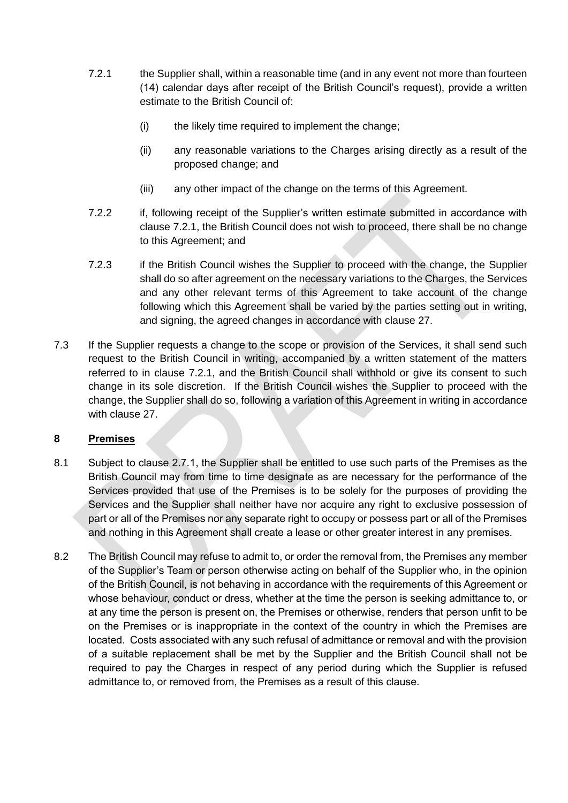- <span id="page-9-0"></span>7.2.1 the Supplier shall, within a reasonable time (and in any event not more than fourteen (14) calendar days after receipt of the British Council's request), provide a written estimate to the British Council of:
	- (i) the likely time required to implement the change;
	- (ii) any reasonable variations to the Charges arising directly as a result of the proposed change; and
	- (iii) any other impact of the change on the terms of this Agreement.
- 7.2.2 if, following receipt of the Supplier's written estimate submitted in accordance with clause [7.2.1,](#page-9-0) the British Council does not wish to proceed, there shall be no change to this Agreement; and
- 7.2.3 if the British Council wishes the Supplier to proceed with the change, the Supplier shall do so after agreement on the necessary variations to the Charges, the Services and any other relevant terms of this Agreement to take account of the change following which this Agreement shall be varied by the parties setting out in writing, and signing, the agreed changes in accordance with clause [27.](#page-25-0)
- 7.3 If the Supplier requests a change to the scope or provision of the Services, it shall send such request to the British Council in writing, accompanied by a written statement of the matters referred to in clause [7.2.1,](#page-9-0) and the British Council shall withhold or give its consent to such change in its sole discretion. If the British Council wishes the Supplier to proceed with the change, the Supplier shall do so, following a variation of this Agreement in writing in accordance with clause [27.](#page-25-0)

# **8 Premises**

- 8.1 Subject to clause [2.7.1,](#page-4-0) the Supplier shall be entitled to use such parts of the Premises as the British Council may from time to time designate as are necessary for the performance of the Services provided that use of the Premises is to be solely for the purposes of providing the Services and the Supplier shall neither have nor acquire any right to exclusive possession of part or all of the Premises nor any separate right to occupy or possess part or all of the Premises and nothing in this Agreement shall create a lease or other greater interest in any premises.
- 8.2 The British Council may refuse to admit to, or order the removal from, the Premises any member of the Supplier's Team or person otherwise acting on behalf of the Supplier who, in the opinion of the British Council, is not behaving in accordance with the requirements of this Agreement or whose behaviour, conduct or dress, whether at the time the person is seeking admittance to, or at any time the person is present on, the Premises or otherwise, renders that person unfit to be on the Premises or is inappropriate in the context of the country in which the Premises are located. Costs associated with any such refusal of admittance or removal and with the provision of a suitable replacement shall be met by the Supplier and the British Council shall not be required to pay the Charges in respect of any period during which the Supplier is refused admittance to, or removed from, the Premises as a result of this clause.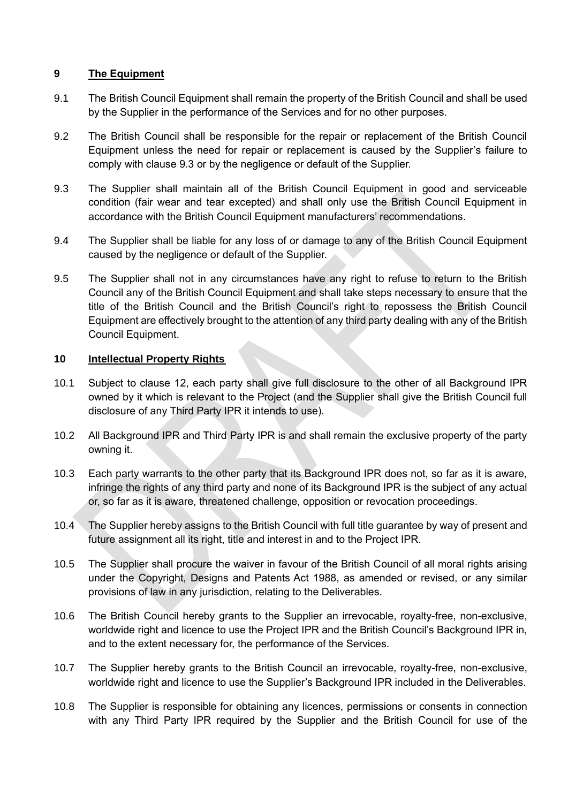## **9 The Equipment**

- 9.1 The British Council Equipment shall remain the property of the British Council and shall be used by the Supplier in the performance of the Services and for no other purposes.
- 9.2 The British Council shall be responsible for the repair or replacement of the British Council Equipment unless the need for repair or replacement is caused by the Supplier's failure to comply with clause [9.3](#page-10-0) or by the negligence or default of the Supplier.
- <span id="page-10-0"></span>9.3 The Supplier shall maintain all of the British Council Equipment in good and serviceable condition (fair wear and tear excepted) and shall only use the British Council Equipment in accordance with the British Council Equipment manufacturers' recommendations.
- 9.4 The Supplier shall be liable for any loss of or damage to any of the British Council Equipment caused by the negligence or default of the Supplier.
- 9.5 The Supplier shall not in any circumstances have any right to refuse to return to the British Council any of the British Council Equipment and shall take steps necessary to ensure that the title of the British Council and the British Council's right to repossess the British Council Equipment are effectively brought to the attention of any third party dealing with any of the British Council Equipment.

## <span id="page-10-1"></span>**10 Intellectual Property Rights**

- 10.1 Subject to clause [12,](#page-12-0) each party shall give full disclosure to the other of all Background IPR owned by it which is relevant to the Project (and the Supplier shall give the British Council full disclosure of any Third Party IPR it intends to use).
- 10.2 All Background IPR and Third Party IPR is and shall remain the exclusive property of the party owning it.
- 10.3 Each party warrants to the other party that its Background IPR does not, so far as it is aware, infringe the rights of any third party and none of its Background IPR is the subject of any actual or, so far as it is aware, threatened challenge, opposition or revocation proceedings.
- <span id="page-10-2"></span>10.4 The Supplier hereby assigns to the British Council with full title guarantee by way of present and future assignment all its right, title and interest in and to the Project IPR.
- 10.5 The Supplier shall procure the waiver in favour of the British Council of all moral rights arising under the Copyright, Designs and Patents Act 1988, as amended or revised, or any similar provisions of law in any jurisdiction, relating to the Deliverables.
- 10.6 The British Council hereby grants to the Supplier an irrevocable, royalty-free, non-exclusive, worldwide right and licence to use the Project IPR and the British Council's Background IPR in, and to the extent necessary for, the performance of the Services.
- 10.7 The Supplier hereby grants to the British Council an irrevocable, royalty-free, non-exclusive, worldwide right and licence to use the Supplier's Background IPR included in the Deliverables.
- 10.8 The Supplier is responsible for obtaining any licences, permissions or consents in connection with any Third Party IPR required by the Supplier and the British Council for use of the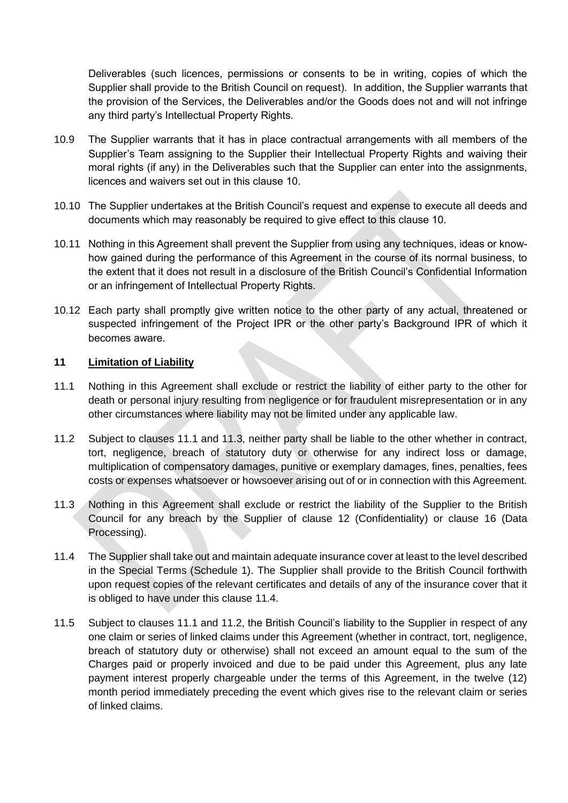Deliverables (such licences, permissions or consents to be in writing, copies of which the Supplier shall provide to the British Council on request). In addition, the Supplier warrants that the provision of the Services, the Deliverables and/or the Goods does not and will not infringe any third party's Intellectual Property Rights.

- 10.9 The Supplier warrants that it has in place contractual arrangements with all members of the Supplier's Team assigning to the Supplier their Intellectual Property Rights and waiving their moral rights (if any) in the Deliverables such that the Supplier can enter into the assignments, licences and waivers set out in this clause [10.](#page-10-1)
- 10.10 The Supplier undertakes at the British Council's request and expense to execute all deeds and documents which may reasonably be required to give effect to this clause [10.](#page-10-1)
- 10.11 Nothing in this Agreement shall prevent the Supplier from using any techniques, ideas or knowhow gained during the performance of this Agreement in the course of its normal business, to the extent that it does not result in a disclosure of the British Council's Confidential Information or an infringement of Intellectual Property Rights.
- 10.12 Each party shall promptly give written notice to the other party of any actual, threatened or suspected infringement of the Project IPR or the other party's Background IPR of which it becomes aware.

### <span id="page-11-4"></span>**11 Limitation of Liability**

- <span id="page-11-0"></span>11.1 Nothing in this Agreement shall exclude or restrict the liability of either party to the other for death or personal injury resulting from negligence or for fraudulent misrepresentation or in any other circumstances where liability may not be limited under any applicable law.
- <span id="page-11-3"></span>11.2 Subject to clauses [11.1](#page-11-0) and [11.3,](#page-11-1) neither party shall be liable to the other whether in contract, tort, negligence, breach of statutory duty or otherwise for any indirect loss or damage, multiplication of compensatory damages, punitive or exemplary damages, fines, penalties, fees costs or expenses whatsoever or howsoever arising out of or in connection with this Agreement.
- <span id="page-11-1"></span>11.3 Nothing in this Agreement shall exclude or restrict the liability of the Supplier to the British Council for any breach by the Supplier of clause [12](#page-12-0) (Confidentiality) or clause [16](#page-18-0) (Data Processing).
- <span id="page-11-2"></span>11.4 The Supplier shall take out and maintain adequate insurance cover at least to the level described in the Special Terms (Schedule 1). The Supplier shall provide to the British Council forthwith upon request copies of the relevant certificates and details of any of the insurance cover that it is obliged to have under this clause [11.4.](#page-11-2)
- 11.5 Subject to clauses [11.1](#page-11-0) and [11.2,](#page-11-3) the British Council's liability to the Supplier in respect of any one claim or series of linked claims under this Agreement (whether in contract, tort, negligence, breach of statutory duty or otherwise) shall not exceed an amount equal to the sum of the Charges paid or properly invoiced and due to be paid under this Agreement, plus any late payment interest properly chargeable under the terms of this Agreement, in the twelve (12) month period immediately preceding the event which gives rise to the relevant claim or series of linked claims.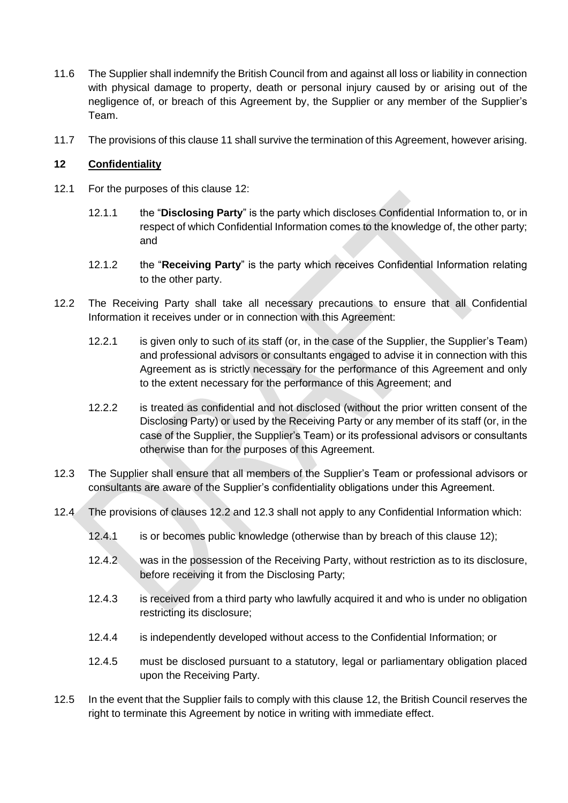- 11.6 The Supplier shall indemnify the British Council from and against all loss or liability in connection with physical damage to property, death or personal injury caused by or arising out of the negligence of, or breach of this Agreement by, the Supplier or any member of the Supplier's Team.
- 11.7 The provisions of this clause [11](#page-11-4) shall survive the termination of this Agreement, however arising.

## <span id="page-12-0"></span>**12 Confidentiality**

- 12.1 For the purposes of this clause [12:](#page-12-0)
	- 12.1.1 the "**Disclosing Party**" is the party which discloses Confidential Information to, or in respect of which Confidential Information comes to the knowledge of, the other party; and
	- 12.1.2 the "**Receiving Party**" is the party which receives Confidential Information relating to the other party.
- <span id="page-12-1"></span>12.2 The Receiving Party shall take all necessary precautions to ensure that all Confidential Information it receives under or in connection with this Agreement:
	- 12.2.1 is given only to such of its staff (or, in the case of the Supplier, the Supplier's Team) and professional advisors or consultants engaged to advise it in connection with this Agreement as is strictly necessary for the performance of this Agreement and only to the extent necessary for the performance of this Agreement; and
	- 12.2.2 is treated as confidential and not disclosed (without the prior written consent of the Disclosing Party) or used by the Receiving Party or any member of its staff (or, in the case of the Supplier, the Supplier's Team) or its professional advisors or consultants otherwise than for the purposes of this Agreement.
- <span id="page-12-2"></span>12.3 The Supplier shall ensure that all members of the Supplier's Team or professional advisors or consultants are aware of the Supplier's confidentiality obligations under this Agreement.
- 12.4 The provisions of clauses [12.2](#page-12-1) and [12.3](#page-12-2) shall not apply to any Confidential Information which:
	- 12.4.1 is or becomes public knowledge (otherwise than by breach of this clause [12\)](#page-12-0);
	- 12.4.2 was in the possession of the Receiving Party, without restriction as to its disclosure, before receiving it from the Disclosing Party;
	- 12.4.3 is received from a third party who lawfully acquired it and who is under no obligation restricting its disclosure;
	- 12.4.4 is independently developed without access to the Confidential Information; or
	- 12.4.5 must be disclosed pursuant to a statutory, legal or parliamentary obligation placed upon the Receiving Party.
- 12.5 In the event that the Supplier fails to comply with this clause [12,](#page-12-0) the British Council reserves the right to terminate this Agreement by notice in writing with immediate effect.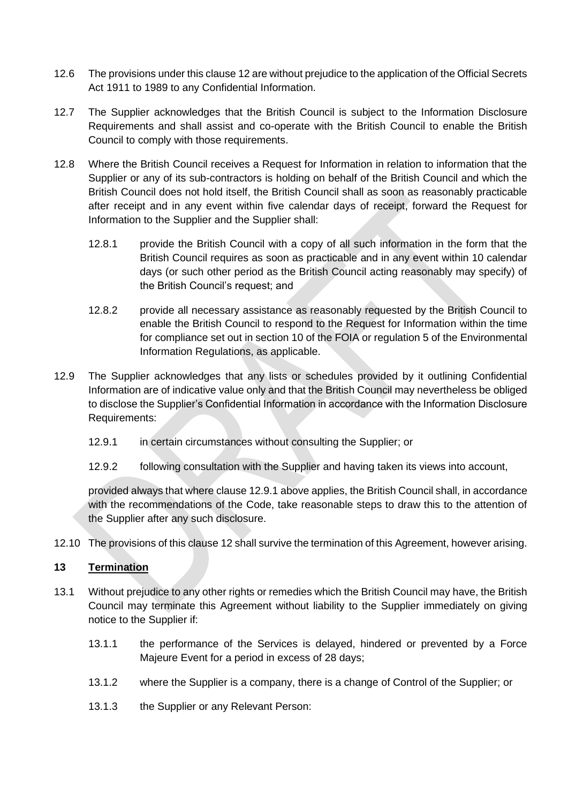- 12.6 The provisions under this claus[e 12](#page-12-0) are without prejudice to the application of the Official Secrets Act 1911 to 1989 to any Confidential Information.
- 12.7 The Supplier acknowledges that the British Council is subject to the Information Disclosure Requirements and shall assist and co-operate with the British Council to enable the British Council to comply with those requirements.
- 12.8 Where the British Council receives a Request for Information in relation to information that the Supplier or any of its sub-contractors is holding on behalf of the British Council and which the British Council does not hold itself, the British Council shall as soon as reasonably practicable after receipt and in any event within five calendar days of receipt, forward the Request for Information to the Supplier and the Supplier shall:
	- 12.8.1 provide the British Council with a copy of all such information in the form that the British Council requires as soon as practicable and in any event within 10 calendar days (or such other period as the British Council acting reasonably may specify) of the British Council's request; and
	- 12.8.2 provide all necessary assistance as reasonably requested by the British Council to enable the British Council to respond to the Request for Information within the time for compliance set out in section 10 of the FOIA or regulation 5 of the Environmental Information Regulations, as applicable.
- 12.9 The Supplier acknowledges that any lists or schedules provided by it outlining Confidential Information are of indicative value only and that the British Council may nevertheless be obliged to disclose the Supplier's Confidential Information in accordance with the Information Disclosure Requirements:
	- 12.9.1 in certain circumstances without consulting the Supplier; or
	- 12.9.2 following consultation with the Supplier and having taken its views into account,

<span id="page-13-0"></span>provided always that where clause [12.9.1](#page-13-0) above applies, the British Council shall, in accordance with the recommendations of the Code, take reasonable steps to draw this to the attention of the Supplier after any such disclosure.

12.10 The provisions of this clause [12](#page-12-0) shall survive the termination of this Agreement, however arising.

### **13 Termination**

- 13.1 Without prejudice to any other rights or remedies which the British Council may have, the British Council may terminate this Agreement without liability to the Supplier immediately on giving notice to the Supplier if:
	- 13.1.1 the performance of the Services is delayed, hindered or prevented by a Force Majeure Event for a period in excess of 28 days;
	- 13.1.2 where the Supplier is a company, there is a change of Control of the Supplier; or
	- 13.1.3 the Supplier or any Relevant Person: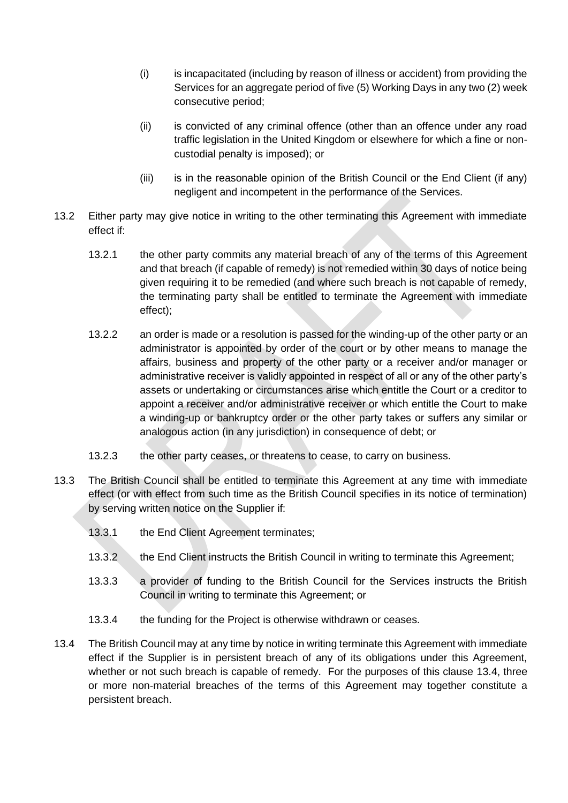- (i) is incapacitated (including by reason of illness or accident) from providing the Services for an aggregate period of five (5) Working Days in any two (2) week consecutive period;
- (ii) is convicted of any criminal offence (other than an offence under any road traffic legislation in the United Kingdom or elsewhere for which a fine or noncustodial penalty is imposed); or
- (iii) is in the reasonable opinion of the British Council or the End Client (if any) negligent and incompetent in the performance of the Services.
- <span id="page-14-1"></span>13.2 Either party may give notice in writing to the other terminating this Agreement with immediate effect if:
	- 13.2.1 the other party commits any material breach of any of the terms of this Agreement and that breach (if capable of remedy) is not remedied within 30 days of notice being given requiring it to be remedied (and where such breach is not capable of remedy, the terminating party shall be entitled to terminate the Agreement with immediate effect);
	- 13.2.2 an order is made or a resolution is passed for the winding-up of the other party or an administrator is appointed by order of the court or by other means to manage the affairs, business and property of the other party or a receiver and/or manager or administrative receiver is validly appointed in respect of all or any of the other party's assets or undertaking or circumstances arise which entitle the Court or a creditor to appoint a receiver and/or administrative receiver or which entitle the Court to make a winding-up or bankruptcy order or the other party takes or suffers any similar or analogous action (in any jurisdiction) in consequence of debt; or
	- 13.2.3 the other party ceases, or threatens to cease, to carry on business.
- 13.3 The British Council shall be entitled to terminate this Agreement at any time with immediate effect (or with effect from such time as the British Council specifies in its notice of termination) by serving written notice on the Supplier if:
	- 13.3.1 the End Client Agreement terminates;
	- 13.3.2 the End Client instructs the British Council in writing to terminate this Agreement;
	- 13.3.3 a provider of funding to the British Council for the Services instructs the British Council in writing to terminate this Agreement; or
	- 13.3.4 the funding for the Project is otherwise withdrawn or ceases.
- <span id="page-14-0"></span>13.4 The British Council may at any time by notice in writing terminate this Agreement with immediate effect if the Supplier is in persistent breach of any of its obligations under this Agreement, whether or not such breach is capable of remedy. For the purposes of this clause [13.4,](#page-14-0) three or more non-material breaches of the terms of this Agreement may together constitute a persistent breach.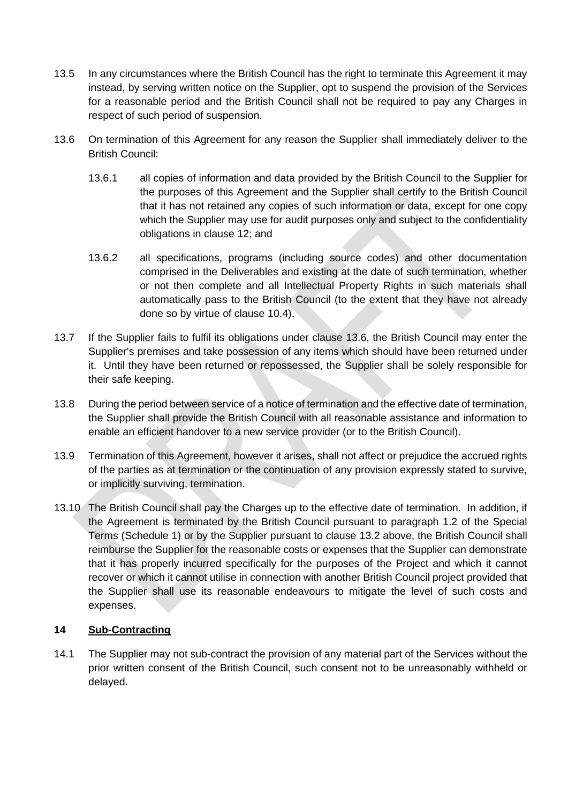- 13.5 In any circumstances where the British Council has the right to terminate this Agreement it may instead, by serving written notice on the Supplier, opt to suspend the provision of the Services for a reasonable period and the British Council shall not be required to pay any Charges in respect of such period of suspension.
- <span id="page-15-0"></span>13.6 On termination of this Agreement for any reason the Supplier shall immediately deliver to the British Council:
	- 13.6.1 all copies of information and data provided by the British Council to the Supplier for the purposes of this Agreement and the Supplier shall certify to the British Council that it has not retained any copies of such information or data, except for one copy which the Supplier may use for audit purposes only and subject to the confidentiality obligations in clause [12;](#page-12-0) and
	- 13.6.2 all specifications, programs (including source codes) and other documentation comprised in the Deliverables and existing at the date of such termination, whether or not then complete and all Intellectual Property Rights in such materials shall automatically pass to the British Council (to the extent that they have not already done so by virtue of clause [10.4\)](#page-10-2).
- 13.7 If the Supplier fails to fulfil its obligations under clause [13.6,](#page-15-0) the British Council may enter the Supplier's premises and take possession of any items which should have been returned under it. Until they have been returned or repossessed, the Supplier shall be solely responsible for their safe keeping.
- 13.8 During the period between service of a notice of termination and the effective date of termination, the Supplier shall provide the British Council with all reasonable assistance and information to enable an efficient handover to a new service provider (or to the British Council).
- 13.9 Termination of this Agreement, however it arises, shall not affect or prejudice the accrued rights of the parties as at termination or the continuation of any provision expressly stated to survive, or implicitly surviving, termination.
- 13.10 The British Council shall pay the Charges up to the effective date of termination. In addition, if the Agreement is terminated by the British Council pursuant to paragraph 1.2 of the Special Terms (Schedule 1) or by the Supplier pursuant to clause [13.2](#page-14-1) above, the British Council shall reimburse the Supplier for the reasonable costs or expenses that the Supplier can demonstrate that it has properly incurred specifically for the purposes of the Project and which it cannot recover or which it cannot utilise in connection with another British Council project provided that the Supplier shall use its reasonable endeavours to mitigate the level of such costs and expenses.

### **14 Sub-Contracting**

<span id="page-15-1"></span>14.1 The Supplier may not sub-contract the provision of any material part of the Services without the prior written consent of the British Council, such consent not to be unreasonably withheld or delayed.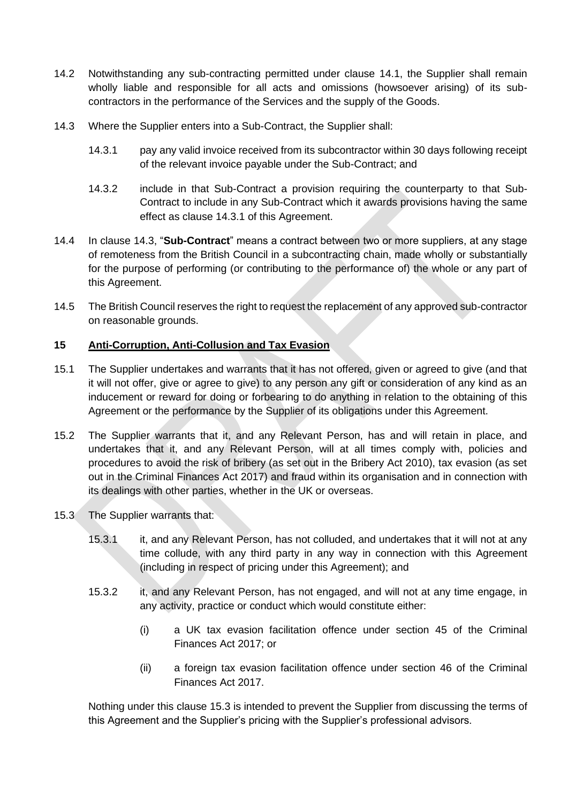- 14.2 Notwithstanding any sub-contracting permitted under clause [14.1,](#page-15-1) the Supplier shall remain wholly liable and responsible for all acts and omissions (howsoever arising) of its subcontractors in the performance of the Services and the supply of the Goods.
- <span id="page-16-1"></span><span id="page-16-0"></span>14.3 Where the Supplier enters into a Sub-Contract, the Supplier shall:
	- 14.3.1 pay any valid invoice received from its subcontractor within 30 days following receipt of the relevant invoice payable under the Sub-Contract; and
	- 14.3.2 include in that Sub-Contract a provision requiring the counterparty to that Sub-Contract to include in any Sub-Contract which it awards provisions having the same effect as clause [14.3.1](#page-16-0) of this Agreement.
- 14.4 In clause [14.3,](#page-16-1) "**Sub-Contract**" means a contract between two or more suppliers, at any stage of remoteness from the British Council in a subcontracting chain, made wholly or substantially for the purpose of performing (or contributing to the performance of) the whole or any part of this Agreement.
- 14.5 The British Council reserves the right to request the replacement of any approved sub-contractor on reasonable grounds.

# <span id="page-16-5"></span>**15 Anti-Corruption, Anti-Collusion and Tax Evasion**

- <span id="page-16-3"></span>15.1 The Supplier undertakes and warrants that it has not offered, given or agreed to give (and that it will not offer, give or agree to give) to any person any gift or consideration of any kind as an inducement or reward for doing or forbearing to do anything in relation to the obtaining of this Agreement or the performance by the Supplier of its obligations under this Agreement.
- <span id="page-16-4"></span>15.2 The Supplier warrants that it, and any Relevant Person, has and will retain in place, and undertakes that it, and any Relevant Person, will at all times comply with, policies and procedures to avoid the risk of bribery (as set out in the Bribery Act 2010), tax evasion (as set out in the Criminal Finances Act 2017) and fraud within its organisation and in connection with its dealings with other parties, whether in the UK or overseas.
- <span id="page-16-2"></span>15.3 The Supplier warrants that:
	- 15.3.1 it, and any Relevant Person, has not colluded, and undertakes that it will not at any time collude, with any third party in any way in connection with this Agreement (including in respect of pricing under this Agreement); and
	- 15.3.2 it, and any Relevant Person, has not engaged, and will not at any time engage, in any activity, practice or conduct which would constitute either:
		- (i) a UK tax evasion facilitation offence under section 45 of the Criminal Finances Act 2017; or
		- (ii) a foreign tax evasion facilitation offence under section 46 of the Criminal Finances Act 2017.

Nothing under this clause [15.3](#page-16-2) is intended to prevent the Supplier from discussing the terms of this Agreement and the Supplier's pricing with the Supplier's professional advisors.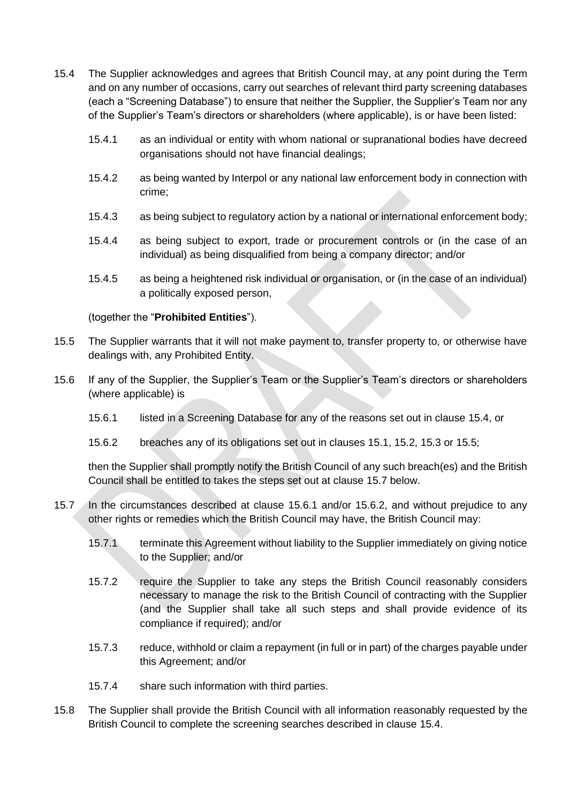- <span id="page-17-0"></span>15.4 The Supplier acknowledges and agrees that British Council may, at any point during the Term and on any number of occasions, carry out searches of relevant third party screening databases (each a "Screening Database") to ensure that neither the Supplier, the Supplier's Team nor any of the Supplier's Team's directors or shareholders (where applicable), is or have been listed:
	- 15.4.1 as an individual or entity with whom national or supranational bodies have decreed organisations should not have financial dealings;
	- 15.4.2 as being wanted by Interpol or any national law enforcement body in connection with crime;
	- 15.4.3 as being subject to regulatory action by a national or international enforcement body;
	- 15.4.4 as being subject to export, trade or procurement controls or (in the case of an individual) as being disqualified from being a company director; and/or
	- 15.4.5 as being a heightened risk individual or organisation, or (in the case of an individual) a politically exposed person,

## (together the "**Prohibited Entities**").

- <span id="page-17-1"></span>15.5 The Supplier warrants that it will not make payment to, transfer property to, or otherwise have dealings with, any Prohibited Entity.
- <span id="page-17-5"></span><span id="page-17-3"></span>15.6 If any of the Supplier, the Supplier's Team or the Supplier's Team's directors or shareholders (where applicable) is
	- 15.6.1 listed in a Screening Database for any of the reasons set out in clause [15.4,](#page-17-0) or
	- 15.6.2 breaches any of its obligations set out in clauses [15.1,](#page-16-3) [15.2,](#page-16-4) [15.3](#page-16-2) or [15.5;](#page-17-1)

<span id="page-17-4"></span>then the Supplier shall promptly notify the British Council of any such breach(es) and the British Council shall be entitled to takes the steps set out at clause [15.7](#page-17-2) below.

- <span id="page-17-2"></span>15.7 In the circumstances described at clause [15.6.1](#page-17-3) and/or [15.6.2,](#page-17-4) and without prejudice to any other rights or remedies which the British Council may have, the British Council may:
	- 15.7.1 terminate this Agreement without liability to the Supplier immediately on giving notice to the Supplier; and/or
	- 15.7.2 require the Supplier to take any steps the British Council reasonably considers necessary to manage the risk to the British Council of contracting with the Supplier (and the Supplier shall take all such steps and shall provide evidence of its compliance if required); and/or
	- 15.7.3 reduce, withhold or claim a repayment (in full or in part) of the charges payable under this Agreement; and/or
	- 15.7.4 share such information with third parties.
- <span id="page-17-6"></span>15.8 The Supplier shall provide the British Council with all information reasonably requested by the British Council to complete the screening searches described in clause [15.4.](#page-17-0)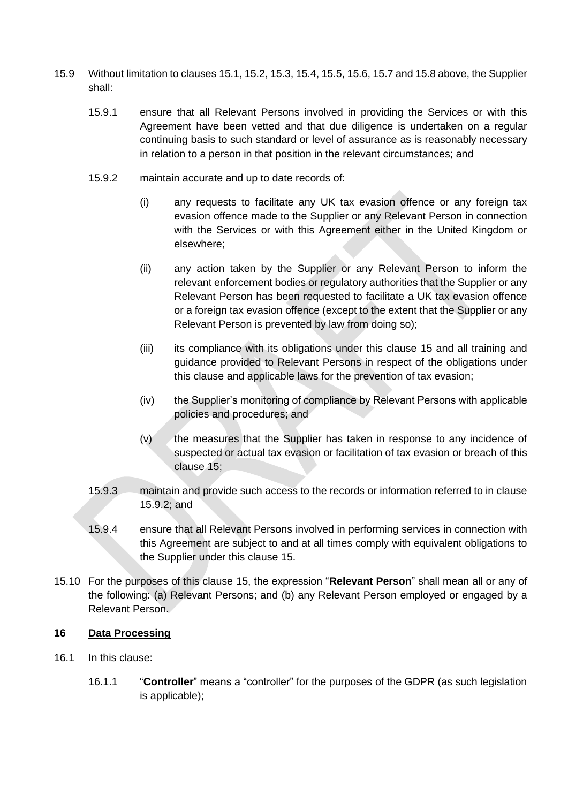- <span id="page-18-1"></span>15.9 Without limitation to clause[s 15.1,](#page-16-3) [15.2,](#page-16-4) [15.3,](#page-16-2) [15.4,](#page-17-0) [15.5,](#page-17-1) [15.6,](#page-17-5) [15.7](#page-17-2) an[d 15.8](#page-17-6) above, the Supplier shall:
	- 15.9.1 ensure that all Relevant Persons involved in providing the Services or with this Agreement have been vetted and that due diligence is undertaken on a regular continuing basis to such standard or level of assurance as is reasonably necessary in relation to a person in that position in the relevant circumstances; and
	- 15.9.2 maintain accurate and up to date records of:
		- (i) any requests to facilitate any UK tax evasion offence or any foreign tax evasion offence made to the Supplier or any Relevant Person in connection with the Services or with this Agreement either in the United Kingdom or elsewhere;
		- (ii) any action taken by the Supplier or any Relevant Person to inform the relevant enforcement bodies or regulatory authorities that the Supplier or any Relevant Person has been requested to facilitate a UK tax evasion offence or a foreign tax evasion offence (except to the extent that the Supplier or any Relevant Person is prevented by law from doing so);
		- (iii) its compliance with its obligations under this clause [15](#page-16-5) and all training and guidance provided to Relevant Persons in respect of the obligations under this clause and applicable laws for the prevention of tax evasion;
		- (iv) the Supplier's monitoring of compliance by Relevant Persons with applicable policies and procedures; and
		- (v) the measures that the Supplier has taken in response to any incidence of suspected or actual tax evasion or facilitation of tax evasion or breach of this clause [15;](#page-16-5)
	- 15.9.3 maintain and provide such access to the records or information referred to in clause [15.9.2;](#page-18-1) and
	- 15.9.4 ensure that all Relevant Persons involved in performing services in connection with this Agreement are subject to and at all times comply with equivalent obligations to the Supplier under this clause [15.](#page-16-5)
- 15.10 For the purposes of this clause [15,](#page-16-5) the expression "**Relevant Person**" shall mean all or any of the following: (a) Relevant Persons; and (b) any Relevant Person employed or engaged by a Relevant Person.

#### <span id="page-18-0"></span>**16 Data Processing**

- <span id="page-18-2"></span>16.1 In this clause:
	- 16.1.1 "**Controller**" means a "controller" for the purposes of the GDPR (as such legislation is applicable);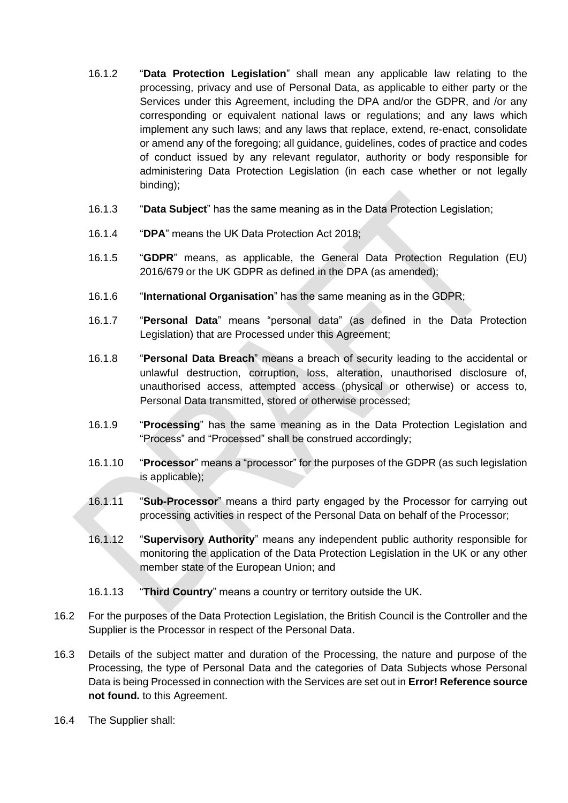- 16.1.2 "**Data Protection Legislation**" shall mean any applicable law relating to the processing, privacy and use of Personal Data, as applicable to either party or the Services under this Agreement, including the DPA and/or the GDPR, and /or any corresponding or equivalent national laws or regulations; and any laws which implement any such laws; and any laws that replace, extend, re-enact, consolidate or amend any of the foregoing; all guidance, guidelines, codes of practice and codes of conduct issued by any relevant regulator, authority or body responsible for administering Data Protection Legislation (in each case whether or not legally binding);
- 16.1.3 "**Data Subject**" has the same meaning as in the Data Protection Legislation;
- 16.1.4 "**DPA**" means the UK Data Protection Act 2018;
- 16.1.5 "**GDPR**" means, as applicable, the General Data Protection Regulation (EU) 2016/679 or the UK GDPR as defined in the DPA (as amended);
- 16.1.6 "**International Organisation**" has the same meaning as in the GDPR;
- 16.1.7 "**Personal Data**" means "personal data" (as defined in the Data Protection Legislation) that are Processed under this Agreement;
- 16.1.8 "**Personal Data Breach**" means a breach of security leading to the accidental or unlawful destruction, corruption, loss, alteration, unauthorised disclosure of, unauthorised access, attempted access (physical or otherwise) or access to, Personal Data transmitted, stored or otherwise processed;
- 16.1.9 "**Processing**" has the same meaning as in the Data Protection Legislation and "Process" and "Processed" shall be construed accordingly;
- 16.1.10 "**Processor**" means a "processor" for the purposes of the GDPR (as such legislation is applicable);
- 16.1.11 "**Sub-Processor**" means a third party engaged by the Processor for carrying out processing activities in respect of the Personal Data on behalf of the Processor;
- 16.1.12 "**Supervisory Authority**" means any independent public authority responsible for monitoring the application of the Data Protection Legislation in the UK or any other member state of the European Union; and
- 16.1.13 "**Third Country**" means a country or territory outside the UK.
- 16.2 For the purposes of the Data Protection Legislation, the British Council is the Controller and the Supplier is the Processor in respect of the Personal Data.
- 16.3 Details of the subject matter and duration of the Processing, the nature and purpose of the Processing, the type of Personal Data and the categories of Data Subjects whose Personal Data is being Processed in connection with the Services are set out in **Error! Reference source not found.** to this Agreement.
- <span id="page-19-0"></span>16.4 The Supplier shall: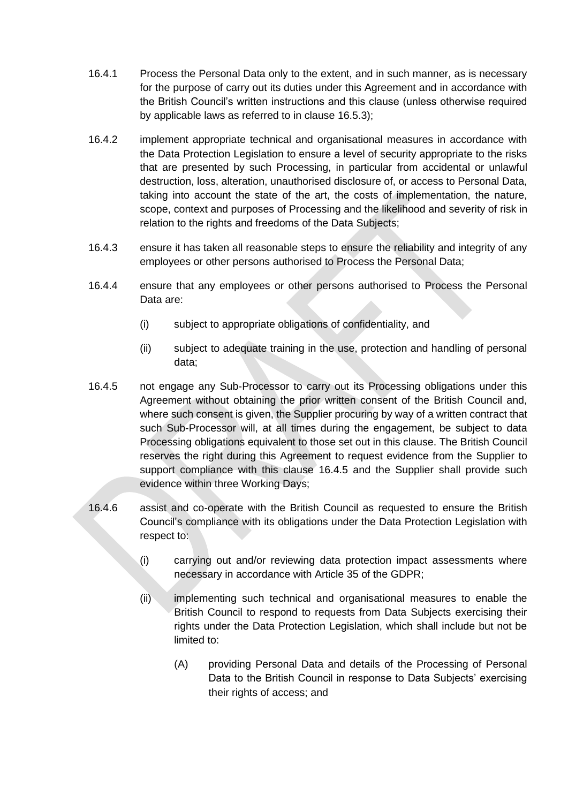- 16.4.1 Process the Personal Data only to the extent, and in such manner, as is necessary for the purpose of carry out its duties under this Agreement and in accordance with the British Council's written instructions and this clause (unless otherwise required by applicable laws as referred to in clause [16.5.3\)](#page-21-0);
- 16.4.2 implement appropriate technical and organisational measures in accordance with the Data Protection Legislation to ensure a level of security appropriate to the risks that are presented by such Processing, in particular from accidental or unlawful destruction, loss, alteration, unauthorised disclosure of, or access to Personal Data, taking into account the state of the art, the costs of implementation, the nature, scope, context and purposes of Processing and the likelihood and severity of risk in relation to the rights and freedoms of the Data Subjects;
- 16.4.3 ensure it has taken all reasonable steps to ensure the reliability and integrity of any employees or other persons authorised to Process the Personal Data;
- 16.4.4 ensure that any employees or other persons authorised to Process the Personal Data are:
	- (i) subject to appropriate obligations of confidentiality, and
	- (ii) subject to adequate training in the use, protection and handling of personal data;
- <span id="page-20-0"></span>16.4.5 not engage any Sub-Processor to carry out its Processing obligations under this Agreement without obtaining the prior written consent of the British Council and, where such consent is given, the Supplier procuring by way of a written contract that such Sub-Processor will, at all times during the engagement, be subject to data Processing obligations equivalent to those set out in this clause. The British Council reserves the right during this Agreement to request evidence from the Supplier to support compliance with this clause [16.4.5](#page-20-0) and the Supplier shall provide such evidence within three Working Days;
- 16.4.6 assist and co-operate with the British Council as requested to ensure the British Council's compliance with its obligations under the Data Protection Legislation with respect to:
	- (i) carrying out and/or reviewing data protection impact assessments where necessary in accordance with Article 35 of the GDPR;
	- (ii) implementing such technical and organisational measures to enable the British Council to respond to requests from Data Subjects exercising their rights under the Data Protection Legislation, which shall include but not be limited to:
		- (A) providing Personal Data and details of the Processing of Personal Data to the British Council in response to Data Subjects' exercising their rights of access; and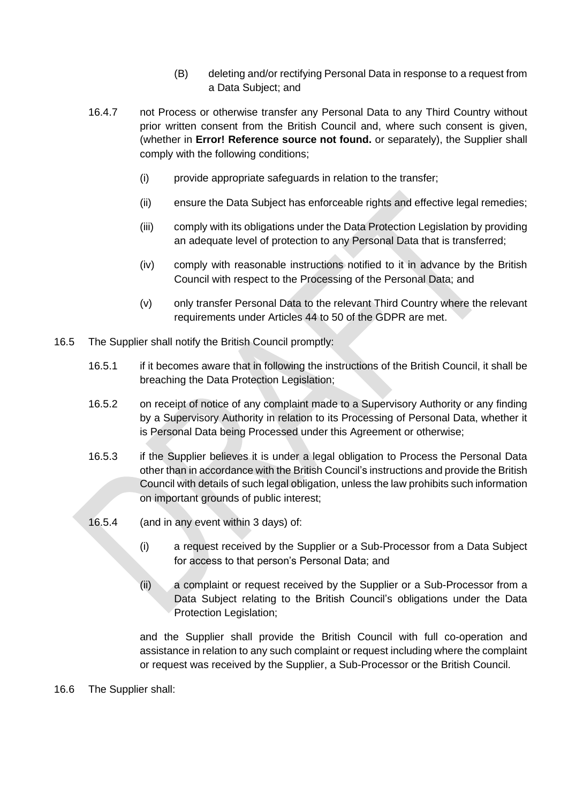- (B) deleting and/or rectifying Personal Data in response to a request from a Data Subject; and
- 16.4.7 not Process or otherwise transfer any Personal Data to any Third Country without prior written consent from the British Council and, where such consent is given, (whether in **Error! Reference source not found.** or separately), the Supplier shall comply with the following conditions;
	- (i) provide appropriate safeguards in relation to the transfer;
	- (ii) ensure the Data Subject has enforceable rights and effective legal remedies;
	- (iii) comply with its obligations under the Data Protection Legislation by providing an adequate level of protection to any Personal Data that is transferred;
	- (iv) comply with reasonable instructions notified to it in advance by the British Council with respect to the Processing of the Personal Data; and
	- (v) only transfer Personal Data to the relevant Third Country where the relevant requirements under Articles 44 to 50 of the GDPR are met.
- <span id="page-21-0"></span>16.5 The Supplier shall notify the British Council promptly:
	- 16.5.1 if it becomes aware that in following the instructions of the British Council, it shall be breaching the Data Protection Legislation;
	- 16.5.2 on receipt of notice of any complaint made to a Supervisory Authority or any finding by a Supervisory Authority in relation to its Processing of Personal Data, whether it is Personal Data being Processed under this Agreement or otherwise;
	- 16.5.3 if the Supplier believes it is under a legal obligation to Process the Personal Data other than in accordance with the British Council's instructions and provide the British Council with details of such legal obligation, unless the law prohibits such information on important grounds of public interest;
	- 16.5.4 (and in any event within 3 days) of:
		- (i) a request received by the Supplier or a Sub-Processor from a Data Subject for access to that person's Personal Data; and
		- (ii) a complaint or request received by the Supplier or a Sub-Processor from a Data Subject relating to the British Council's obligations under the Data Protection Legislation;

and the Supplier shall provide the British Council with full co-operation and assistance in relation to any such complaint or request including where the complaint or request was received by the Supplier, a Sub-Processor or the British Council.

<span id="page-21-1"></span>16.6 The Supplier shall: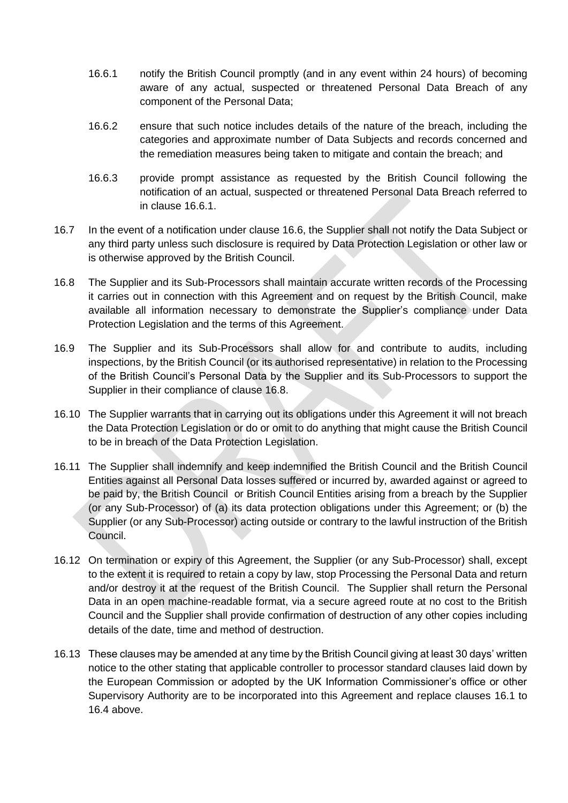- <span id="page-22-0"></span>16.6.1 notify the British Council promptly (and in any event within 24 hours) of becoming aware of any actual, suspected or threatened Personal Data Breach of any component of the Personal Data;
- 16.6.2 ensure that such notice includes details of the nature of the breach, including the categories and approximate number of Data Subjects and records concerned and the remediation measures being taken to mitigate and contain the breach; and
- 16.6.3 provide prompt assistance as requested by the British Council following the notification of an actual, suspected or threatened Personal Data Breach referred to in clause [16.6.1.](#page-22-0)
- 16.7 In the event of a notification under clause [16.6,](#page-21-1) the Supplier shall not notify the Data Subject or any third party unless such disclosure is required by Data Protection Legislation or other law or is otherwise approved by the British Council.
- <span id="page-22-1"></span>16.8 The Supplier and its Sub-Processors shall maintain accurate written records of the Processing it carries out in connection with this Agreement and on request by the British Council, make available all information necessary to demonstrate the Supplier's compliance under Data Protection Legislation and the terms of this Agreement.
- 16.9 The Supplier and its Sub-Processors shall allow for and contribute to audits, including inspections, by the British Council (or its authorised representative) in relation to the Processing of the British Council's Personal Data by the Supplier and its Sub-Processors to support the Supplier in their compliance of clause [16.8.](#page-22-1)
- 16.10 The Supplier warrants that in carrying out its obligations under this Agreement it will not breach the Data Protection Legislation or do or omit to do anything that might cause the British Council to be in breach of the Data Protection Legislation.
- 16.11 The Supplier shall indemnify and keep indemnified the British Council and the British Council Entities against all Personal Data losses suffered or incurred by, awarded against or agreed to be paid by, the British Council or British Council Entities arising from a breach by the Supplier (or any Sub-Processor) of (a) its data protection obligations under this Agreement; or (b) the Supplier (or any Sub-Processor) acting outside or contrary to the lawful instruction of the British Council.
- 16.12 On termination or expiry of this Agreement, the Supplier (or any Sub-Processor) shall, except to the extent it is required to retain a copy by law, stop Processing the Personal Data and return and/or destroy it at the request of the British Council. The Supplier shall return the Personal Data in an open machine-readable format, via a secure agreed route at no cost to the British Council and the Supplier shall provide confirmation of destruction of any other copies including details of the date, time and method of destruction.
- 16.13 These clauses may be amended at any time by the British Council giving at least 30 days' written notice to the other stating that applicable controller to processor standard clauses laid down by the European Commission or adopted by the UK Information Commissioner's office or other Supervisory Authority are to be incorporated into this Agreement and replace clauses [16.1](#page-18-2) to [16.4](#page-19-0) above.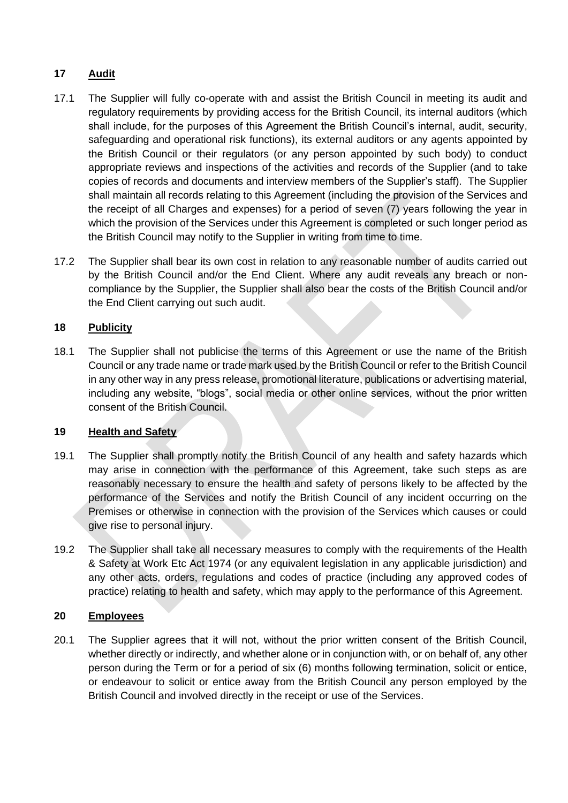# **17 Audit**

- 17.1 The Supplier will fully co-operate with and assist the British Council in meeting its audit and regulatory requirements by providing access for the British Council, its internal auditors (which shall include, for the purposes of this Agreement the British Council's internal, audit, security, safeguarding and operational risk functions), its external auditors or any agents appointed by the British Council or their regulators (or any person appointed by such body) to conduct appropriate reviews and inspections of the activities and records of the Supplier (and to take copies of records and documents and interview members of the Supplier's staff). The Supplier shall maintain all records relating to this Agreement (including the provision of the Services and the receipt of all Charges and expenses) for a period of seven (7) years following the year in which the provision of the Services under this Agreement is completed or such longer period as the British Council may notify to the Supplier in writing from time to time.
- 17.2 The Supplier shall bear its own cost in relation to any reasonable number of audits carried out by the British Council and/or the End Client. Where any audit reveals any breach or noncompliance by the Supplier, the Supplier shall also bear the costs of the British Council and/or the End Client carrying out such audit.

# **18 Publicity**

18.1 The Supplier shall not publicise the terms of this Agreement or use the name of the British Council or any trade name or trade mark used by the British Council or refer to the British Council in any other way in any press release, promotional literature, publications or advertising material, including any website, "blogs", social media or other online services, without the prior written consent of the British Council.

# **19 Health and Safety**

- 19.1 The Supplier shall promptly notify the British Council of any health and safety hazards which may arise in connection with the performance of this Agreement, take such steps as are reasonably necessary to ensure the health and safety of persons likely to be affected by the performance of the Services and notify the British Council of any incident occurring on the Premises or otherwise in connection with the provision of the Services which causes or could give rise to personal injury.
- 19.2 The Supplier shall take all necessary measures to comply with the requirements of the Health & Safety at Work Etc Act 1974 (or any equivalent legislation in any applicable jurisdiction) and any other acts, orders, regulations and codes of practice (including any approved codes of practice) relating to health and safety, which may apply to the performance of this Agreement.

# **20 Employees**

20.1 The Supplier agrees that it will not, without the prior written consent of the British Council, whether directly or indirectly, and whether alone or in conjunction with, or on behalf of, any other person during the Term or for a period of six (6) months following termination, solicit or entice, or endeavour to solicit or entice away from the British Council any person employed by the British Council and involved directly in the receipt or use of the Services.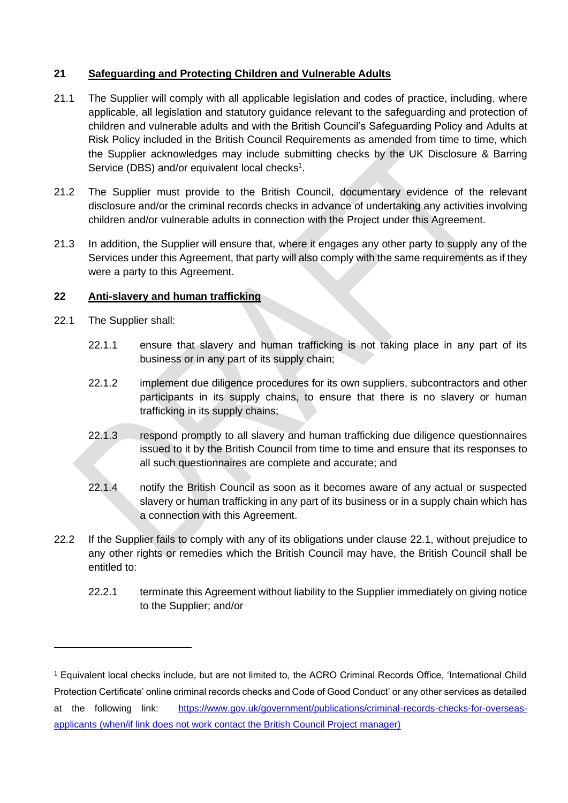# **21 Safeguarding and Protecting Children and Vulnerable Adults**

- 21.1 The Supplier will comply with all applicable legislation and codes of practice, including, where applicable, all legislation and statutory guidance relevant to the safeguarding and protection of children and vulnerable adults and with the British Council's Safeguarding Policy and Adults at Risk Policy included in the British Council Requirements as amended from time to time, which the Supplier acknowledges may include submitting checks by the UK Disclosure & Barring Service (DBS) and/or equivalent local checks<sup>1</sup>.
- 21.2 The Supplier must provide to the British Council, documentary evidence of the relevant disclosure and/or the criminal records checks in advance of undertaking any activities involving children and/or vulnerable adults in connection with the Project under this Agreement.
- 21.3 In addition, the Supplier will ensure that, where it engages any other party to supply any of the Services under this Agreement, that party will also comply with the same requirements as if they were a party to this Agreement.

# **22 Anti-slavery and human trafficking**

- <span id="page-24-0"></span>22.1 The Supplier shall:
	- 22.1.1 ensure that slavery and human trafficking is not taking place in any part of its business or in any part of its supply chain;
	- 22.1.2 implement due diligence procedures for its own suppliers, subcontractors and other participants in its supply chains, to ensure that there is no slavery or human trafficking in its supply chains;
	- 22.1.3 respond promptly to all slavery and human trafficking due diligence questionnaires issued to it by the British Council from time to time and ensure that its responses to all such questionnaires are complete and accurate; and
	- 22.1.4 notify the British Council as soon as it becomes aware of any actual or suspected slavery or human trafficking in any part of its business or in a supply chain which has a connection with this Agreement.
- 22.2 If the Supplier fails to comply with any of its obligations under clause [22.1,](#page-24-0) without prejudice to any other rights or remedies which the British Council may have, the British Council shall be entitled to:
	- 22.2.1 terminate this Agreement without liability to the Supplier immediately on giving notice to the Supplier; and/or

<sup>1</sup> Equivalent local checks include, but are not limited to, the ACRO Criminal Records Office, 'International Child Protection Certificate' online criminal records checks and Code of Good Conduct' or any other services as detailed at the following link: [https://www.gov.uk/government/publications/criminal-records-checks-for-overseas](https://www.gov.uk/government/publications/criminal-records-checks-for-overseas-applicants)[applicants](https://www.gov.uk/government/publications/criminal-records-checks-for-overseas-applicants) (when/if link does not work contact the British Council Project manager)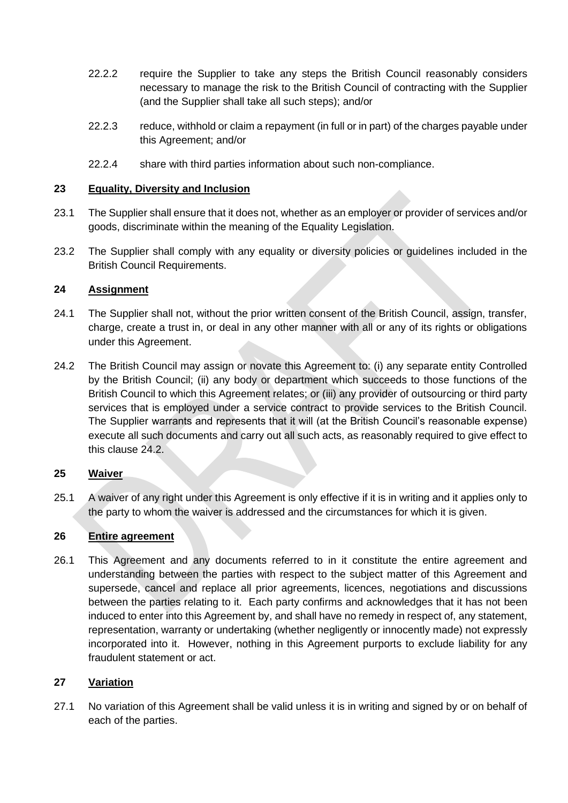- 22.2.2 require the Supplier to take any steps the British Council reasonably considers necessary to manage the risk to the British Council of contracting with the Supplier (and the Supplier shall take all such steps); and/or
- 22.2.3 reduce, withhold or claim a repayment (in full or in part) of the charges payable under this Agreement; and/or
- 22.2.4 share with third parties information about such non-compliance.

### **23 Equality, Diversity and Inclusion**

- 23.1 The Supplier shall ensure that it does not, whether as an employer or provider of services and/or goods, discriminate within the meaning of the Equality Legislation.
- 23.2 The Supplier shall comply with any equality or diversity policies or quidelines included in the British Council Requirements.

## <span id="page-25-2"></span>**24 Assignment**

- 24.1 The Supplier shall not, without the prior written consent of the British Council, assign, transfer, charge, create a trust in, or deal in any other manner with all or any of its rights or obligations under this Agreement.
- <span id="page-25-1"></span>24.2 The British Council may assign or novate this Agreement to: (i) any separate entity Controlled by the British Council; (ii) any body or department which succeeds to those functions of the British Council to which this Agreement relates; or (iii) any provider of outsourcing or third party services that is employed under a service contract to provide services to the British Council. The Supplier warrants and represents that it will (at the British Council's reasonable expense) execute all such documents and carry out all such acts, as reasonably required to give effect to this clause [24.2.](#page-25-1)

# **25 Waiver**

25.1 A waiver of any right under this Agreement is only effective if it is in writing and it applies only to the party to whom the waiver is addressed and the circumstances for which it is given.

### **26 Entire agreement**

26.1 This Agreement and any documents referred to in it constitute the entire agreement and understanding between the parties with respect to the subject matter of this Agreement and supersede, cancel and replace all prior agreements, licences, negotiations and discussions between the parties relating to it. Each party confirms and acknowledges that it has not been induced to enter into this Agreement by, and shall have no remedy in respect of, any statement, representation, warranty or undertaking (whether negligently or innocently made) not expressly incorporated into it. However, nothing in this Agreement purports to exclude liability for any fraudulent statement or act.

# <span id="page-25-0"></span>**27 Variation**

27.1 No variation of this Agreement shall be valid unless it is in writing and signed by or on behalf of each of the parties.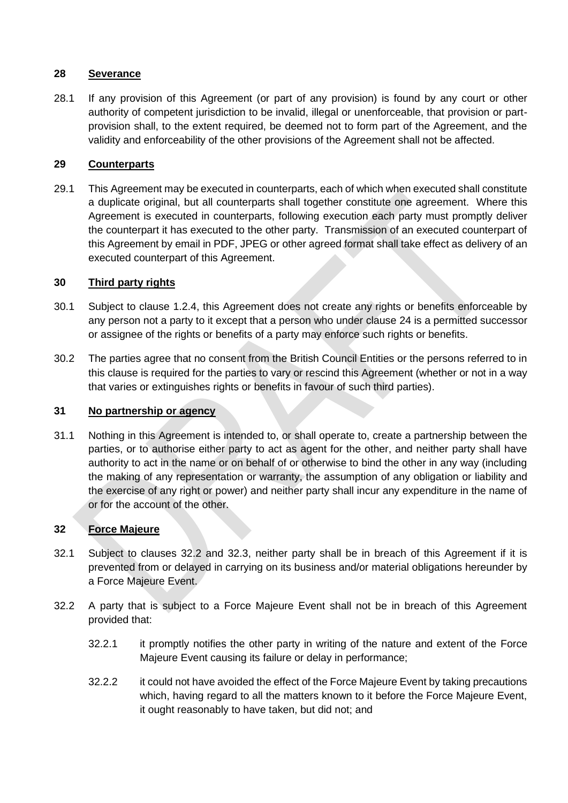## **28 Severance**

28.1 If any provision of this Agreement (or part of any provision) is found by any court or other authority of competent jurisdiction to be invalid, illegal or unenforceable, that provision or partprovision shall, to the extent required, be deemed not to form part of the Agreement, and the validity and enforceability of the other provisions of the Agreement shall not be affected.

# **29 Counterparts**

29.1 This Agreement may be executed in counterparts, each of which when executed shall constitute a duplicate original, but all counterparts shall together constitute one agreement. Where this Agreement is executed in counterparts, following execution each party must promptly deliver the counterpart it has executed to the other party. Transmission of an executed counterpart of this Agreement by email in PDF, JPEG or other agreed format shall take effect as delivery of an executed counterpart of this Agreement.

## **30 Third party rights**

- 30.1 Subject to clause [1.2.4,](#page-3-1) this Agreement does not create any rights or benefits enforceable by any person not a party to it except that a person who under clause [24](#page-25-2) is a permitted successor or assignee of the rights or benefits of a party may enforce such rights or benefits.
- 30.2 The parties agree that no consent from the British Council Entities or the persons referred to in this clause is required for the parties to vary or rescind this Agreement (whether or not in a way that varies or extinguishes rights or benefits in favour of such third parties).

### **31 No partnership or agency**

31.1 Nothing in this Agreement is intended to, or shall operate to, create a partnership between the parties, or to authorise either party to act as agent for the other, and neither party shall have authority to act in the name or on behalf of or otherwise to bind the other in any way (including the making of any representation or warranty, the assumption of any obligation or liability and the exercise of any right or power) and neither party shall incur any expenditure in the name of or for the account of the other.

# <span id="page-26-1"></span>**32 Force Majeure**

- 32.1 Subject to clauses [32.2](#page-26-0) and [32.3,](#page-27-0) neither party shall be in breach of this Agreement if it is prevented from or delayed in carrying on its business and/or material obligations hereunder by a Force Majeure Event.
- <span id="page-26-0"></span>32.2 A party that is subject to a Force Majeure Event shall not be in breach of this Agreement provided that:
	- 32.2.1 it promptly notifies the other party in writing of the nature and extent of the Force Majeure Event causing its failure or delay in performance;
	- 32.2.2 it could not have avoided the effect of the Force Majeure Event by taking precautions which, having regard to all the matters known to it before the Force Majeure Event, it ought reasonably to have taken, but did not; and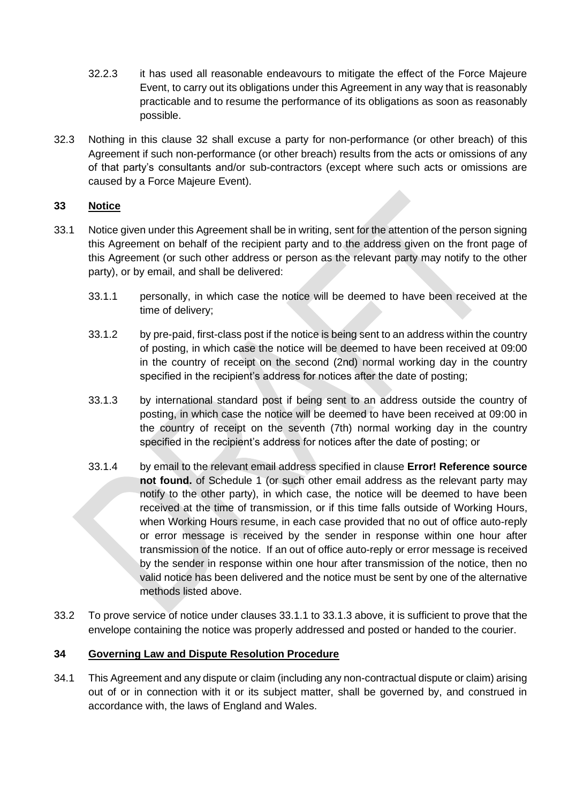- 32.2.3 it has used all reasonable endeavours to mitigate the effect of the Force Majeure Event, to carry out its obligations under this Agreement in any way that is reasonably practicable and to resume the performance of its obligations as soon as reasonably possible.
- <span id="page-27-0"></span>32.3 Nothing in this clause [32](#page-26-1) shall excuse a party for non-performance (or other breach) of this Agreement if such non-performance (or other breach) results from the acts or omissions of any of that party's consultants and/or sub-contractors (except where such acts or omissions are caused by a Force Majeure Event).

## **33 Notice**

- <span id="page-27-2"></span><span id="page-27-1"></span>33.1 Notice given under this Agreement shall be in writing, sent for the attention of the person signing this Agreement on behalf of the recipient party and to the address given on the front page of this Agreement (or such other address or person as the relevant party may notify to the other party), or by email, and shall be delivered:
	- 33.1.1 personally, in which case the notice will be deemed to have been received at the time of delivery;
	- 33.1.2 by pre-paid, first-class post if the notice is being sent to an address within the country of posting, in which case the notice will be deemed to have been received at 09:00 in the country of receipt on the second (2nd) normal working day in the country specified in the recipient's address for notices after the date of posting;
	- 33.1.3 by international standard post if being sent to an address outside the country of posting, in which case the notice will be deemed to have been received at 09:00 in the country of receipt on the seventh (7th) normal working day in the country specified in the recipient's address for notices after the date of posting; or
	- 33.1.4 by email to the relevant email address specified in clause **Error! Reference source not found.** of Schedule 1 (or such other email address as the relevant party may notify to the other party), in which case, the notice will be deemed to have been received at the time of transmission, or if this time falls outside of Working Hours, when Working Hours resume, in each case provided that no out of office auto-reply or error message is received by the sender in response within one hour after transmission of the notice. If an out of office auto-reply or error message is received by the sender in response within one hour after transmission of the notice, then no valid notice has been delivered and the notice must be sent by one of the alternative methods listed above.
- 33.2 To prove service of notice under clauses [33.1.1](#page-27-1) to [33.1.3](#page-27-2) above, it is sufficient to prove that the envelope containing the notice was properly addressed and posted or handed to the courier.

### <span id="page-27-3"></span>**34 Governing Law and Dispute Resolution Procedure**

34.1 This Agreement and any dispute or claim (including any non-contractual dispute or claim) arising out of or in connection with it or its subject matter, shall be governed by, and construed in accordance with, the laws of England and Wales.